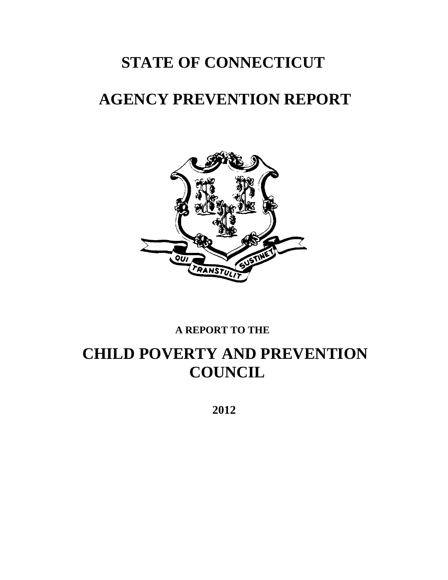# **STATE OF CONNECTICUT**

# **AGENCY PREVENTION REPORT**



### **A REPORT TO THE**

# **CHILD POVERTY AND PREVENTION COUNCIL**

 **2012**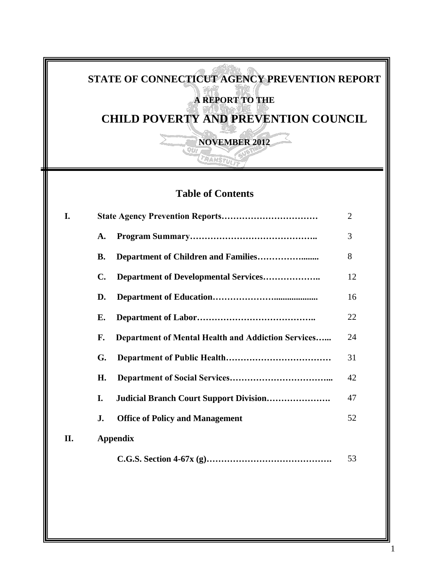# **STATE OF CONNECTICUT AGENCY PREVENTION REPORT A REPORT TO THE**

**CHILD POVERTY AND PREVENTION COUNCIL**

**NOVEMBER 2012**

## **Table of Contents**

TRANSTULI

| <b>I.</b> | $\overline{2}$ |                                                    |    |  |
|-----------|----------------|----------------------------------------------------|----|--|
|           | A.             |                                                    | 3  |  |
|           | В.             |                                                    | 8  |  |
|           | C.             |                                                    | 12 |  |
|           | D.             |                                                    | 16 |  |
|           | Е.             |                                                    | 22 |  |
|           | F.             | Department of Mental Health and Addiction Services | 24 |  |
|           | G.             |                                                    | 31 |  |
|           | Н.             |                                                    | 42 |  |
|           | I.             | <b>Judicial Branch Court Support Division</b>      | 47 |  |
|           | J.             | <b>Office of Policy and Management</b>             | 52 |  |
| II.       |                | <b>Appendix</b>                                    |    |  |
|           |                |                                                    | 53 |  |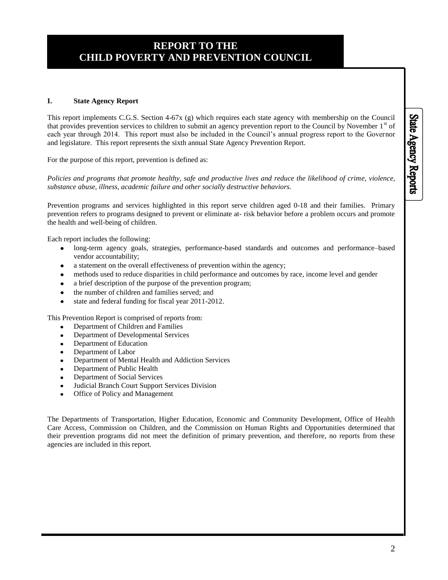### **REPORT TO THE CHILD POVERTY AND PREVENTION COUNCIL**

#### **I. State Agency Report**

This report implements C.G.S. Section 4-67x (g) which requires each state agency with membership on the Council that provides prevention services to children to submit an agency prevention report to the Council by November  $1<sup>st</sup>$  of each year through 2014. This report must also be included in the Council's annual progress report to the Governor and legislature. This report represents the sixth annual State Agency Prevention Report.

For the purpose of this report, prevention is defined as:

*Policies and programs that promote healthy, safe and productive lives and reduce the likelihood of crime, violence, substance abuse, illness, academic failure and other socially destructive behaviors.* 

Prevention programs and services highlighted in this report serve children aged 0-18 and their families. Primary prevention refers to programs designed to prevent or eliminate at- risk behavior before a problem occurs and promote the health and well-being of children.

Each report includes the following:

- long-term agency goals, strategies, performance-based standards and outcomes and performance–based vendor accountability;
- a statement on the overall effectiveness of prevention within the agency;
- methods used to reduce disparities in child performance and outcomes by race, income level and gender
- a brief description of the purpose of the prevention program;
- the number of children and families served; and
- state and federal funding for fiscal year 2011-2012.

This Prevention Report is comprised of reports from:

- Department of Children and Families
- Department of Developmental Services
- Department of Education
- Department of Labor
- Department of Mental Health and Addiction Services
- Department of Public Health
- Department of Social Services
- Judicial Branch Court Support Services Division
- Office of Policy and Management

The Departments of Transportation, Higher Education, Economic and Community Development, Office of Health Care Access, Commission on Children, and the Commission on Human Rights and Opportunities determined that their prevention programs did not meet the definition of primary prevention, and therefore, no reports from these agencies are included in this report.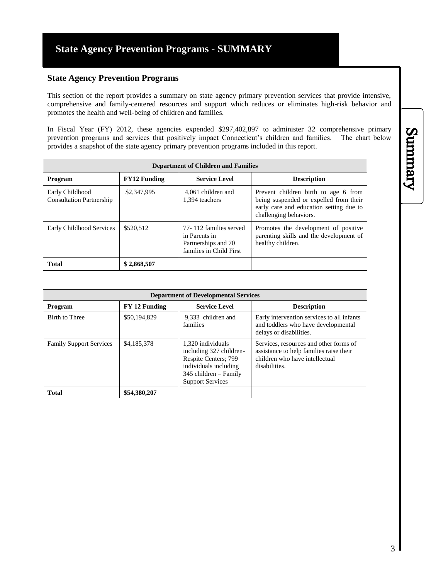#### **State Agency Prevention Programs**

This section of the report provides a summary on state agency primary prevention services that provide intensive, comprehensive and family-centered resources and support which reduces or eliminates high-risk behavior and promotes the health and well-being of children and families.

In Fiscal Year (FY) 2012, these agencies expended \$297,402,897 to administer 32 comprehensive primary prevention programs and services that positively impact Connecticut's children and families. The chart below provides a snapshot of the state agency primary prevention programs included in this report.

| <b>Department of Children and Families</b>         |                     |                                                                                           |                                                                                                                                                     |  |
|----------------------------------------------------|---------------------|-------------------------------------------------------------------------------------------|-----------------------------------------------------------------------------------------------------------------------------------------------------|--|
| Program                                            | <b>FY12 Funding</b> | <b>Service Level</b>                                                                      | <b>Description</b>                                                                                                                                  |  |
| Early Childhood<br><b>Consultation Partnership</b> | \$2,347,995         | 4.061 children and<br>1.394 teachers                                                      | Prevent children birth to age 6 from<br>being suspended or expelled from their<br>early care and education setting due to<br>challenging behaviors. |  |
| Early Childhood Services                           | \$520,512           | 77-112 families served<br>in Parents in<br>Partnerships and 70<br>families in Child First | Promotes the development of positive<br>parenting skills and the development of<br>healthy children.                                                |  |
| <b>Total</b>                                       | \$2,868,507         |                                                                                           |                                                                                                                                                     |  |

| <b>Department of Developmental Services</b> |               |                                                                                                                                                   |                                                                                                                                      |
|---------------------------------------------|---------------|---------------------------------------------------------------------------------------------------------------------------------------------------|--------------------------------------------------------------------------------------------------------------------------------------|
| Program                                     | FY 12 Funding | <b>Service Level</b>                                                                                                                              | <b>Description</b>                                                                                                                   |
| Birth to Three                              | \$50,194,829  | 9.333 children and<br>families                                                                                                                    | Early intervention services to all infants<br>and toddlers who have developmental<br>delays or disabilities.                         |
| <b>Family Support Services</b>              | \$4,185,378   | 1,320 individuals<br>including 327 children-<br>Respite Centers; 799<br>individuals including<br>345 children – Family<br><b>Support Services</b> | Services, resources and other forms of<br>assistance to help families raise their<br>children who have intellectual<br>disabilities. |
| <b>Total</b>                                | \$54,380,207  |                                                                                                                                                   |                                                                                                                                      |

Summary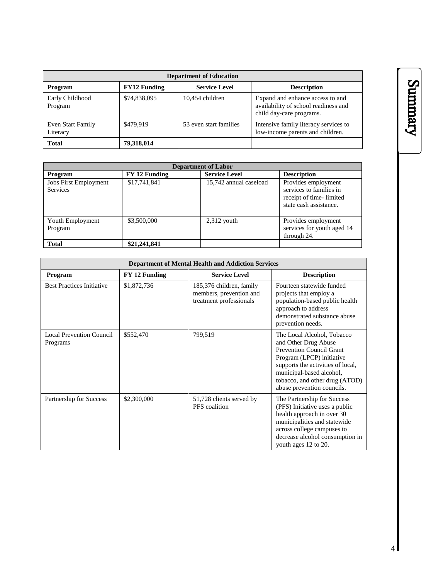| <b>Department of Education</b> |                     |                        |                                                                                                      |
|--------------------------------|---------------------|------------------------|------------------------------------------------------------------------------------------------------|
| Program                        | <b>FY12 Funding</b> | <b>Service Level</b>   | <b>Description</b>                                                                                   |
| Early Childhood<br>Program     | \$74,838,095        | 10,454 children        | Expand and enhance access to and<br>availability of school readiness and<br>child day-care programs. |
| Even Start Family<br>Literacy  | \$479.919           | 53 even start families | Intensive family literacy services to<br>low-income parents and children.                            |
| <b>Total</b>                   | 79,318,014          |                        |                                                                                                      |

| <b>Department of Labor</b>                      |               |                        |                                                                                                     |
|-------------------------------------------------|---------------|------------------------|-----------------------------------------------------------------------------------------------------|
| Program                                         | FY 12 Funding | <b>Service Level</b>   | <b>Description</b>                                                                                  |
| <b>Jobs First Employment</b><br><b>Services</b> | \$17,741,841  | 15,742 annual caseload | Provides employment<br>services to families in<br>receipt of time-limited<br>state cash assistance. |
| Youth Employment<br>Program                     | \$3,500,000   | $2,312$ youth          | Provides employment<br>services for youth aged 14<br>through 24.                                    |
| <b>Total</b>                                    | \$21,241,841  |                        |                                                                                                     |

| <b>Department of Mental Health and Addiction Services</b> |               |                                                                                |                                                                                                                                                                                                                                              |  |
|-----------------------------------------------------------|---------------|--------------------------------------------------------------------------------|----------------------------------------------------------------------------------------------------------------------------------------------------------------------------------------------------------------------------------------------|--|
| Program                                                   | FY 12 Funding | <b>Service Level</b>                                                           | <b>Description</b>                                                                                                                                                                                                                           |  |
| <b>Best Practices Initiative</b>                          | \$1,872,736   | 185,376 children, family<br>members, prevention and<br>treatment professionals | Fourteen statewide funded<br>projects that employ a<br>population-based public health<br>approach to address<br>demonstrated substance abuse<br>prevention needs.                                                                            |  |
| <b>Local Prevention Council</b><br>Programs               | \$552,470     | 799,519                                                                        | The Local Alcohol, Tobacco<br>and Other Drug Abuse<br>Prevention Council Grant<br>Program (LPCP) initiative<br>supports the activities of local,<br>municipal-based alcohol,<br>tobacco, and other drug (ATOD)<br>abuse prevention councils. |  |
| Partnership for Success                                   | \$2,300,000   | 51,728 clients served by<br>PFS coalition                                      | The Partnership for Success<br>(PFS) Initiative uses a public<br>health approach in over 30<br>municipalities and statewide<br>across college campuses to<br>decrease alcohol consumption in<br>youth ages 12 to 20.                         |  |

# Summary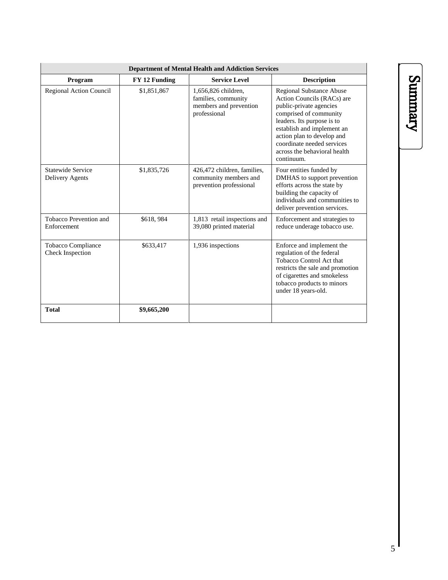| <b>Department of Mental Health and Addiction Services</b> |               |                                                                                      |                                                                                                                                                                                                                                                                                          |  |
|-----------------------------------------------------------|---------------|--------------------------------------------------------------------------------------|------------------------------------------------------------------------------------------------------------------------------------------------------------------------------------------------------------------------------------------------------------------------------------------|--|
| Program                                                   | FY 12 Funding | <b>Service Level</b>                                                                 | <b>Description</b>                                                                                                                                                                                                                                                                       |  |
| Regional Action Council                                   | \$1,851,867   | 1,656,826 children,<br>families, community<br>members and prevention<br>professional | <b>Regional Substance Abuse</b><br>Action Councils (RACs) are<br>public-private agencies<br>comprised of community<br>leaders. Its purpose is to<br>establish and implement an<br>action plan to develop and<br>coordinate needed services<br>across the behavioral health<br>continuum. |  |
| Statewide Service<br>Delivery Agents                      | \$1,835,726   | 426,472 children, families,<br>community members and<br>prevention professional      | Four entities funded by<br>DMHAS to support prevention<br>efforts across the state by<br>building the capacity of<br>individuals and communities to<br>deliver prevention services.                                                                                                      |  |
| Tobacco Prevention and<br>Enforcement                     | \$618,984     | 1,813 retail inspections and<br>39,080 printed material                              | Enforcement and strategies to<br>reduce underage tobacco use.                                                                                                                                                                                                                            |  |
| Tobacco Compliance<br><b>Check Inspection</b>             | \$633,417     | 1,936 inspections                                                                    | Enforce and implement the<br>regulation of the federal<br>Tobacco Control Act that<br>restricts the sale and promotion<br>of cigarettes and smokeless<br>tobacco products to minors<br>under 18 years-old.                                                                               |  |
| <b>Total</b>                                              | \$9,665,200   |                                                                                      |                                                                                                                                                                                                                                                                                          |  |

# Summary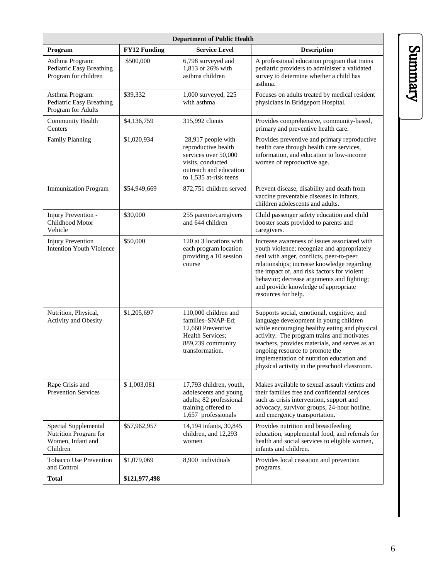| <b>Department of Public Health</b>                                             |                     |                                                                                                                                            |                                                                                                                                                                                                                                                                                                                                                                        |  |
|--------------------------------------------------------------------------------|---------------------|--------------------------------------------------------------------------------------------------------------------------------------------|------------------------------------------------------------------------------------------------------------------------------------------------------------------------------------------------------------------------------------------------------------------------------------------------------------------------------------------------------------------------|--|
| Program                                                                        | <b>FY12 Funding</b> | <b>Service Level</b>                                                                                                                       | <b>Description</b>                                                                                                                                                                                                                                                                                                                                                     |  |
| Asthma Program:<br>Pediatric Easy Breathing<br>Program for children            | \$500,000           | 6,798 surveyed and<br>1,813 or 26% with<br>asthma children                                                                                 | A professional education program that trains<br>pediatric providers to administer a validated<br>survey to determine whether a child has<br>asthma.                                                                                                                                                                                                                    |  |
| Asthma Program:<br>Pediatric Easy Breathing<br>Program for Adults              | \$39,332            | 1,000 surveyed, 225<br>with asthma                                                                                                         | Focuses on adults treated by medical resident<br>physicians in Bridgeport Hospital.                                                                                                                                                                                                                                                                                    |  |
| Community Health<br>Centers                                                    | \$4,136,759         | 315,992 clients                                                                                                                            | Provides comprehensive, community-based,<br>primary and preventive health care.                                                                                                                                                                                                                                                                                        |  |
| <b>Family Planning</b>                                                         | \$1,020,934         | 28,917 people with<br>reproductive health<br>services over 50,000<br>visits, conducted<br>outreach and education<br>to 1,535 at-risk teens | Provides preventive and primary reproductive<br>health care through health care services,<br>information, and education to low-income<br>women of reproductive age.                                                                                                                                                                                                    |  |
| <b>Immunization Program</b>                                                    | \$54,949,669        | 872,751 children served                                                                                                                    | Prevent disease, disability and death from<br>vaccine preventable diseases in infants,<br>children adolescents and adults.                                                                                                                                                                                                                                             |  |
| Injury Prevention -<br>Childhood Motor<br>Vehicle                              | \$30,000            | 255 parents/caregivers<br>and 644 children                                                                                                 | Child passenger safety education and child<br>booster seats provided to parents and<br>caregivers.                                                                                                                                                                                                                                                                     |  |
| <b>Injury Prevention</b><br><b>Intention Youth Violence</b>                    | \$50,000            | 120 at 3 locations with<br>each program location<br>providing a 10 session<br>course                                                       | Increase awareness of issues associated with<br>youth violence; recognize and appropriately<br>deal with anger, conflicts, peer-to-peer<br>relationships; increase knowledge regarding<br>the impact of, and risk factors for violent<br>behavior; decrease arguments and fighting;<br>and provide knowledge of appropriate<br>resources for help.                     |  |
| Nutrition, Physical,<br><b>Activity and Obesity</b>                            | \$1,205,697         | 110,000 children and<br>families-SNAP-Ed:<br>12,660 Preventive<br>Health Services;<br>889,239 community<br>transformation.                 | Supports social, emotional, cognitive, and<br>language development in young children<br>while encouraging healthy eating and physical<br>activity. The program trains and motivates<br>teachers, provides materials, and serves as an<br>ongoing resource to promote the<br>implementation of nutrition education and<br>physical activity in the preschool classroom. |  |
| Rape Crisis and<br><b>Prevention Services</b>                                  | \$1,003,081         | 17,793 children, youth,<br>adolescents and young<br>adults; 82 professional<br>training offered to<br>1,657 professionals                  | Makes available to sexual assault victims and<br>their families free and confidential services<br>such as crisis intervention, support and<br>advocacy, survivor groups, 24-hour hotline,<br>and emergency transportation.                                                                                                                                             |  |
| Special Supplemental<br>Nutrition Program for<br>Women, Infant and<br>Children | \$57,962,957        | 14,194 infants, 30,845<br>children, and 12,293<br>women                                                                                    | Provides nutrition and breastfeeding<br>education, supplemental food, and referrals for<br>health and social services to eligible women,<br>infants and children.                                                                                                                                                                                                      |  |
| <b>Tobacco Use Prevention</b><br>and Control                                   | \$1,079,069         | 8,900 individuals                                                                                                                          | Provides local cessation and prevention<br>programs.                                                                                                                                                                                                                                                                                                                   |  |
| <b>Total</b>                                                                   | \$121,977,498       |                                                                                                                                            |                                                                                                                                                                                                                                                                                                                                                                        |  |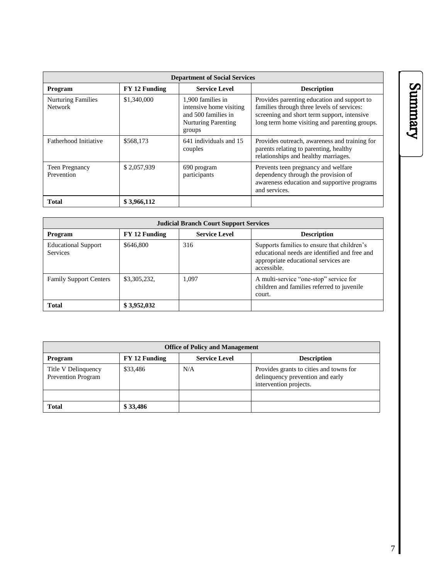| <b>Department of Social Services</b>        |               |                                                                                                             |                                                                                                                                                                                           |  |
|---------------------------------------------|---------------|-------------------------------------------------------------------------------------------------------------|-------------------------------------------------------------------------------------------------------------------------------------------------------------------------------------------|--|
| <b>Program</b>                              | FY 12 Funding | <b>Service Level</b>                                                                                        | <b>Description</b>                                                                                                                                                                        |  |
| <b>Nurturing Families</b><br><b>Network</b> | \$1,340,000   | 1,900 families in<br>intensive home visiting<br>and 500 families in<br><b>Nurturing Parenting</b><br>groups | Provides parenting education and support to<br>families through three levels of services:<br>screening and short term support, intensive<br>long term home visiting and parenting groups. |  |
| Fatherhood Initiative                       | \$568,173     | 641 individuals and 15<br>couples                                                                           | Provides outreach, awareness and training for<br>parents relating to parenting, healthy<br>relationships and healthy marriages.                                                           |  |
| <b>Teen Pregnancy</b><br>Prevention         | \$2,057,939   | 690 program<br>participants                                                                                 | Prevents teen pregnancy and welfare<br>dependency through the provision of<br>awareness education and supportive programs<br>and services.                                                |  |
| <b>Total</b>                                | \$3,966,112   |                                                                                                             |                                                                                                                                                                                           |  |

| <b>Judicial Branch Court Support Services</b> |               |                      |                                                                                                                                                     |  |
|-----------------------------------------------|---------------|----------------------|-----------------------------------------------------------------------------------------------------------------------------------------------------|--|
| <b>Program</b>                                | FY 12 Funding | <b>Service Level</b> | <b>Description</b>                                                                                                                                  |  |
| <b>Educational Support</b><br><b>Services</b> | \$646,800     | 316                  | Supports families to ensure that children's<br>educational needs are identified and free and<br>appropriate educational services are<br>accessible. |  |
| <b>Family Support Centers</b>                 | \$3,305,232,  | 1.097                | A multi-service "one-stop" service for<br>children and families referred to juvenile<br>court.                                                      |  |
| <b>Total</b>                                  | \$3,952,032   |                      |                                                                                                                                                     |  |

| <b>Office of Policy and Management</b>    |               |                      |                                                                                                       |  |
|-------------------------------------------|---------------|----------------------|-------------------------------------------------------------------------------------------------------|--|
| Program                                   | FY 12 Funding | <b>Service Level</b> | <b>Description</b>                                                                                    |  |
| Title V Delinquency<br>Prevention Program | \$33,486      | N/A                  | Provides grants to cities and towns for<br>delinquency prevention and early<br>intervention projects. |  |
|                                           |               |                      |                                                                                                       |  |
| <b>Total</b>                              | \$33,486      |                      |                                                                                                       |  |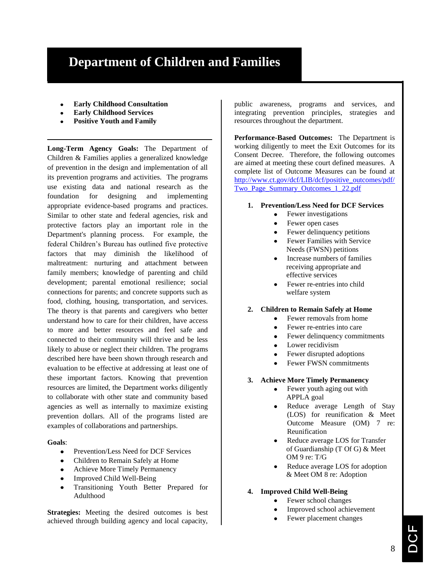# **Department of Children and Families**

- **Early Childhood Consultation**
- **Early Childhood Services**
- **Positive Youth and Family**

**Long-Term Agency Goals:** The Department of Children & Families applies a generalized knowledge of prevention in the design and implementation of all its prevention programs and activities. The programs use existing data and national research as the foundation for designing and implementing appropriate evidence-based programs and practices. Similar to other state and federal agencies, risk and protective factors play an important role in the Department's planning process. For example, the federal Children's Bureau has outlined five protective factors that may diminish the likelihood of maltreatment: nurturing and attachment between family members; knowledge of parenting and child development; parental emotional resilience; social connections for parents; and concrete supports such as food, clothing, housing, transportation, and services. The theory is that parents and caregivers who better understand how to care for their children, have access to more and better resources and feel safe and connected to their community will thrive and be less likely to abuse or neglect their children. The programs described here have been shown through research and evaluation to be effective at addressing at least one of these important factors. Knowing that prevention resources are limited, the Department works diligently to collaborate with other state and community based agencies as well as internally to maximize existing prevention dollars. All of the programs listed are examples of collaborations and partnerships.

**Goals**:

- Prevention/Less Need for DCF Services
- Children to Remain Safely at Home
- Achieve More Timely Permanency
- Improved Child Well-Being
- Transitioning Youth Better Prepared for Adulthood

**Strategies:** Meeting the desired outcomes is best achieved through building agency and local capacity,

public awareness, programs and services, and integrating prevention principles, strategies and resources throughout the department.

**Performance-Based Outcomes:** The Department is working diligently to meet the Exit Outcomes for its Consent Decree. Therefore, the following outcomes are aimed at meeting these court defined measures. A complete list of Outcome Measures can be found at [http://www.ct.gov/dcf/LIB/dcf/positive\\_outcomes/pdf/](http://www.ct.gov/dcf/LIB/dcf/positive_outcomes/pdf/Two_Page_Summary_Outcomes_1_22.pdf) [Two\\_Page\\_Summary\\_Outcomes\\_1\\_22.pdf](http://www.ct.gov/dcf/LIB/dcf/positive_outcomes/pdf/Two_Page_Summary_Outcomes_1_22.pdf)

- **1. Prevention/Less Need for DCF Services**
	- Fewer investigations
		- Fewer open cases
		- Fewer delinquency petitions
		- Fewer Families with Service Needs (FWSN) petitions
		- Increase numbers of families receiving appropriate and effective services
		- Fewer re-entries into child welfare system
- **2. Children to Remain Safely at Home**
	- Fewer removals from home  $\bullet$
	- $\bullet$ Fewer re-entries into care
	- Fewer delinquency commitments
	- Lower recidivism
	- Fewer disrupted adoptions
	- Fewer FWSN commitments
- **3. Achieve More Timely Permanency**
	- Fewer youth aging out with APPLA goal
	- Reduce average Length of Stay (LOS) for reunification & Meet Outcome Measure (OM) 7 re: Reunification
	- Reduce average LOS for Transfer of Guardianship (T Of G) & Meet OM 9 re: T/G
	- Reduce average LOS for adoption & Meet OM 8 re: Adoption
- **4. Improved Child Well-Being**
	- Fewer school changes
	- Improved school achievement
	- Fewer placement changes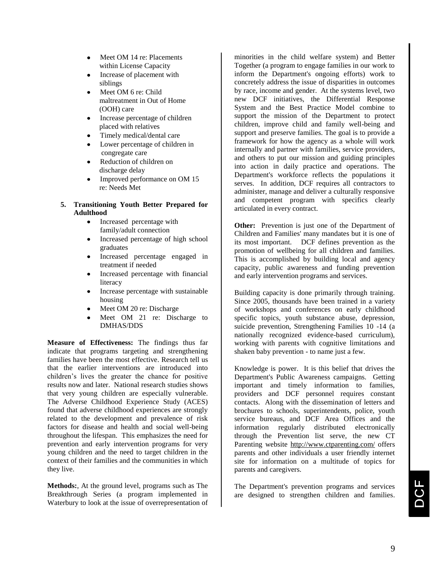- Meet OM 14 re: Placements within License Capacity
- Increase of placement with siblings
- Meet OM 6 re: Child maltreatment in Out of Home (OOH) care
- Increase percentage of children placed with relatives
- Timely medical/dental care
- Lower percentage of children in congregate care
- Reduction of children on discharge delay
- Improved performance on OM 15 re: Needs Met

#### **5. Transitioning Youth Better Prepared for Adulthood**

- $\bullet$ Increased percentage with family/adult connection
- Increased percentage of high school graduates
- Increased percentage engaged in treatment if needed
- Increased percentage with financial literacy
- Increase percentage with sustainable housing
- Meet OM 20 re: Discharge
- Meet OM 21 re: Discharge to DMHAS/DDS

**Measure of Effectiveness:** The findings thus far indicate that programs targeting and strengthening families have been the most effective. Research tell us that the earlier interventions are introduced into children's lives the greater the chance for positive results now and later. National research studies shows that very young children are especially vulnerable. The Adverse Childhood Experience Study (ACES) found that adverse childhood experiences are strongly related to the development and prevalence of risk factors for disease and health and social well-being throughout the lifespan. This emphasizes the need for prevention and early intervention programs for very young children and the need to target children in the context of their families and the communities in which they live.

**Methods:**, At the ground level, programs such as The Breakthrough Series (a program implemented in Waterbury to look at the issue of overrepresentation of

minorities in the child welfare system) and Better Together (a program to engage families in our work to inform the Department's ongoing efforts) work to concretely address the issue of disparities in outcomes by race, income and gender. At the systems level, two new DCF initiatives, the Differential Response System and the Best Practice Model combine to support the mission of the Department to protect children, improve child and family well-being and support and preserve families. The goal is to provide a framework for how the agency as a whole will work internally and partner with families, service providers, and others to put our mission and guiding principles into action in daily practice and operations. The Department's workforce reflects the populations it serves. In addition, DCF requires all contractors to administer, manage and deliver a culturally responsive and competent program with specifics clearly articulated in every contract.

**Other:** Prevention is just one of the Department of Children and Families' many mandates but it is one of its most important. DCF defines prevention as the promotion of wellbeing for all children and families. This is accomplished by building local and agency capacity, public awareness and funding prevention and early intervention programs and services.

Building capacity is done primarily through training. Since 2005, thousands have been trained in a variety of workshops and conferences on early childhood specific topics, youth substance abuse, depression, suicide prevention, Strengthening Families 10 -14 (a nationally recognized evidence-based curriculum), working with parents with cognitive limitations and shaken baby prevention - to name just a few.

Knowledge is power. It is this belief that drives the Department's Public Awareness campaigns. Getting important and timely information to families, providers and DCF personnel requires constant contacts. Along with the dissemination of letters and brochures to schools, superintendents, police, youth service bureaus, and DCF Area Offices and the information regularly distributed electronically through the Prevention list serve, the new CT Parenting website<http://www.ctparenting.com/> offers parents and other individuals a user friendly internet site for information on a multitude of topics for parents and caregivers.

The Department's prevention programs and services are designed to strengthen children and families.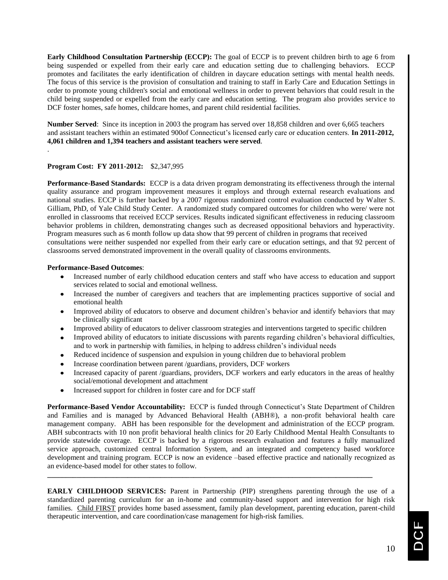**Early Childhood Consultation Partnership (ECCP):** The goal of ECCP is to prevent children birth to age 6 from being suspended or expelled from their early care and education setting due to challenging behaviors. ECCP promotes and facilitates the early identification of children in daycare education settings with mental health needs. The focus of this service is the provision of consultation and training to staff in Early Care and Education Settings in order to promote young children's social and emotional wellness in order to prevent behaviors that could result in the child being suspended or expelled from the early care and education setting. The program also provides service to DCF foster homes, safe homes, childcare homes, and parent child residential facilities.

**Number Served**: Since its inception in 2003 the program has served over 18,858 children and over 6,665 teachers and assistant teachers within an estimated 900of Connecticut's licensed early care or education centers. **In 2011-2012, 4,061 children and 1,394 teachers and assistant teachers were served**.

#### **Program Cost: FY 2011-2012:** \$2,347,995

.

**Performance-Based Standards:** ECCP is a data driven program demonstrating its effectiveness through the internal quality assurance and program improvement measures it employs and through external research evaluations and national studies. ECCP is further backed by a 2007 rigorous randomized control evaluation conducted by Walter S. Gilliam, PhD, of Yale Child Study Center. A randomized study compared outcomes for children who were/ were not enrolled in classrooms that received ECCP services. Results indicated significant effectiveness in reducing classroom behavior problems in children, demonstrating changes such as decreased oppositional behaviors and hyperactivity. Program measures such as 6 month follow up data show that 99 percent of children in programs that received consultations were neither suspended nor expelled from their early care or education settings, and that 92 percent of classrooms served demonstrated improvement in the overall quality of classrooms environments.

#### **Performance-Based Outcomes**:

- Increased number of early childhood education centers and staff who have access to education and support services related to social and emotional wellness.
- Increased the number of caregivers and teachers that are implementing practices supportive of social and emotional health
- Improved ability of educators to observe and document children's behavior and identify behaviors that may be clinically significant
- Improved ability of educators to deliver classroom strategies and interventions targeted to specific children
- Improved ability of educators to initiate discussions with parents regarding children's behavioral difficulties, and to work in partnership with families, in helping to address children's individual needs
- Reduced incidence of suspension and expulsion in young children due to behavioral problem
- Increase coordination between parent /guardians, providers, DCF workers
- Increased capacity of parent /guardians, providers, DCF workers and early educators in the areas of healthy social/emotional development and attachment
- Increased support for children in foster care and for DCF staff

**Performance-Based Vendor Accountability:** ECCP is funded through Connecticut's State Department of Children and Families and is managed by Advanced Behavioral Health (ABH®), a non-profit behavioral health care management company. ABH has been responsible for the development and administration of the ECCP program. ABH subcontracts with 10 non profit behavioral health clinics for 20 Early Childhood Mental Health Consultants to provide statewide coverage. ECCP is backed by a rigorous research evaluation and features a fully manualized service approach, customized central Information System, and an integrated and competency based workforce development and training program. ECCP is now an evidence –based effective practice and nationally recognized as an evidence-based model for other states to follow.

**EARLY CHILDHOOD SERVICES:** Parent in Partnership (PIP) strengthens parenting through the use of a standardized parenting curriculum for an in-home and community-based support and intervention for high risk families. Child FIRST provides home based assessment, family plan development, parenting education, parent-child therapeutic intervention, and care coordination/case management for high-risk families.

**\_\_\_\_\_\_\_\_\_\_\_\_\_\_\_\_\_\_\_\_\_\_\_\_\_\_\_\_\_\_\_\_\_\_\_\_\_\_\_\_\_\_\_\_\_\_\_\_\_\_\_\_\_\_\_\_\_\_\_\_\_\_\_\_\_\_\_\_\_\_\_\_\_\_\_\_\_\_\_\_\_\_\_\_\_\_\_\_\_**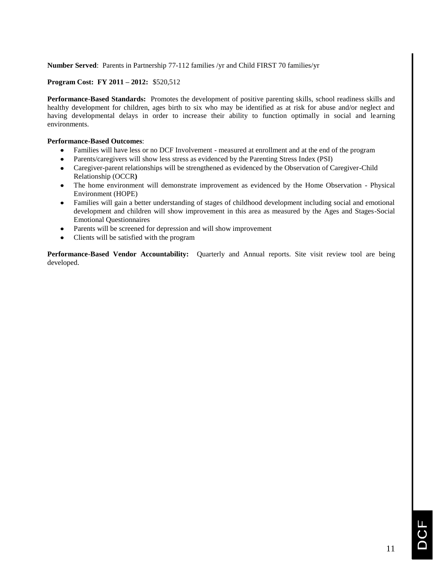**Number Served**: Parents in Partnership 77-112 families /yr and Child FIRST 70 families/yr

#### **Program Cost: FY 2011 – 2012:** \$520,512

**Performance-Based Standards:** Promotes the development of positive parenting skills, school readiness skills and healthy development for children, ages birth to six who may be identified as at risk for abuse and/or neglect and having developmental delays in order to increase their ability to function optimally in social and learning environments.

#### **Performance-Based Outcomes**:

- Families will have less or no DCF Involvement measured at enrollment and at the end of the program
- Parents/caregivers will show less stress as evidenced by the Parenting Stress Index (PSI)
- Caregiver-parent relationships will be strengthened as evidenced by the Observation of Caregiver-Child Relationship (OCCR**)**
- The home environment will demonstrate improvement as evidenced by the Home Observation Physical Environment (HOPE)
- Families will gain a better understanding of stages of childhood development including social and emotional development and children will show improvement in this area as measured by the Ages and Stages-Social Emotional Questionnaires
- Parents will be screened for depression and will show improvement
- Clients will be satisfied with the program

**Performance-Based Vendor Accountability:** Quarterly and Annual reports. Site visit review tool are being developed.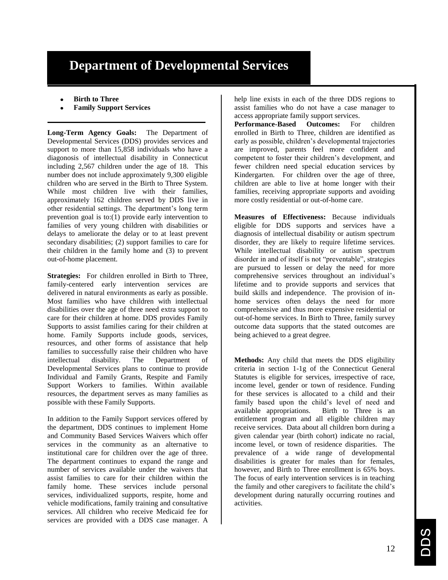# **Department of Developmental Services**

- **Birth to Three**
- **Family Support Services**

**Long-Term Agency Goals:** The Department of Developmental Services (DDS) provides services and support to more than 15,858 individuals who have a diagonosis of intellectual disability in Connecticut including 2,567 children under the age of 18. This number does not include approximately 9,300 eligible children who are served in the Birth to Three System. While most children live with their families, approximately 162 children served by DDS live in other residential settings. The department's long term prevention goal is to:(1) provide early intervention to families of very young children with disabilities or delays to ameliorate the delay or to at least prevent secondary disabilities; (2) support families to care for their children in the family home and (3) to prevent out-of-home placement.

**Strategies:** For children enrolled in Birth to Three, family-centered early intervention services are delivered in natural environments as early as possible. Most families who have children with intellectual disabilities over the age of three need extra support to care for their children at home. DDS provides Family Supports to assist families caring for their children at home. Family Supports include goods, services, resources, and other forms of assistance that help families to successfully raise their children who have intellectual disability. The Department of Developmental Services plans to continue to provide Individual and Family Grants, Respite and Family Support Workers to families. Within available resources, the department serves as many families as possible with these Family Supports.

In addition to the Family Support services offered by the department, DDS continues to implement Home and Community Based Services Waivers which offer services in the community as an alternative to institutional care for children over the age of three. The department continues to expand the range and number of services available under the waivers that assist families to care for their children within the family home. These services include personal services, individualized supports, respite, home and vehicle modifications, family training and consultative services. All children who receive Medicaid fee for services are provided with a DDS case manager. A

help line exists in each of the three DDS regions to assist families who do not have a case manager to access appropriate family support services.

**Performance-Based Outcomes:** For children enrolled in Birth to Three, children are identified as early as possible, children's developmental trajectories are improved, parents feel more confident and competent to foster their children's development, and fewer children need special education services by Kindergarten. For children over the age of three, children are able to live at home longer with their families, receiving appropriate supports and avoiding more costly residential or out-of-home care.

**Measures of Effectiveness:** Because individuals eligible for DDS supports and services have a diagnosis of intellectual disability or autism spectrum disorder, they are likely to require lifetime services. While intellectual disability or autism spectrum disorder in and of itself is not "preventable", strategies are pursued to lessen or delay the need for more comprehensive services throughout an individual's lifetime and to provide supports and services that build skills and independence. The provision of inhome services often delays the need for more comprehensive and thus more expensive residential or out-of-home services. In Birth to Three, family survey outcome data supports that the stated outcomes are being achieved to a great degree.

**Methods:** Any child that meets the DDS eligibility criteria in section 1-1g of the Connecticut General Statutes is eligible for services, irrespective of race, income level, gender or town of residence. Funding for these services is allocated to a child and their family based upon the child's level of need and available appropriations. Birth to Three is an entitlement program and all eligible children may receive services. Data about all children born during a given calendar year (birth cohort) indicate no racial, income level, or town of residence disparities. The prevalence of a wide range of developmental disabilities is greater for males than for females, however, and Birth to Three enrollment is 65% boys. The focus of early intervention services is in teaching the family and other caregivers to facilitate the child's development during naturally occurring routines and activities.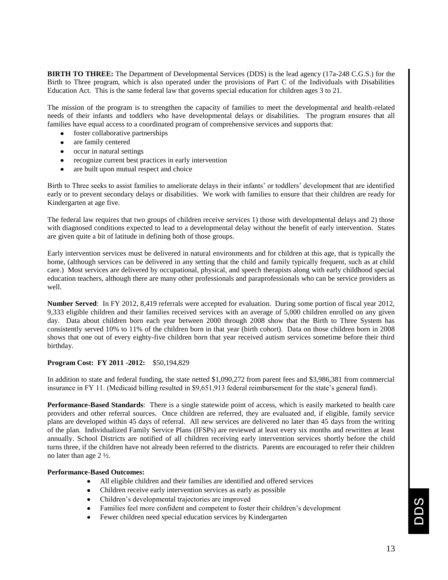**BIRTH TO THREE:** The Department of Developmental Services (DDS) is the lead agency (17a-248 C.G.S.) for the Birth to Three program, which is also operated under the provisions of Part C of the Individuals with Disabilities Education Act. This is the same federal law that governs special education for children ages 3 to 21.

The mission of the program is to strengthen the capacity of families to meet the developmental and health-related needs of their infants and toddlers who have developmental delays or disabilities. The program ensures that all families have equal access to a coordinated program of comprehensive services and supports that:

- foster collaborative partnerships
- are family centered
- occur in natural settings
- recognize current best practices in early intervention
- are built upon mutual respect and choice

Birth to Three seeks to assist families to ameliorate delays in their infants' or toddlers' development that are identified early or to prevent secondary delays or disabilities. We work with families to ensure that their children are ready for Kindergarten at age five.

The federal law requires that two groups of children receive services 1) those with developmental delays and 2) those with diagnosed conditions expected to lead to a developmental delay without the benefit of early intervention. States are given quite a bit of latitude in defining both of those groups.

Early intervention services must be delivered in natural environments and for children at this age, that is typically the home, (although services can be delivered in any setting that the child and family typically frequent, such as at child care.) Most services are delivered by occupational, physical, and speech therapists along with early childhood special education teachers, although there are many other professionals and paraprofessionals who can be service providers as well.

**Number Served**: In FY 2012, 8,419 referrals were accepted for evaluation. During some portion of fiscal year 2012, 9,333 eligible children and their families received services with an average of 5,000 children enrolled on any given day. Data about children born each year between 2000 through 2008 show that the Birth to Three System has consistently served 10% to 11% of the children born in that year (birth cohort). Data on those children born in 2008 shows that one out of every eighty-five children born that year received autism services sometime before their third birthday.

#### **Program Cost: FY 2011 -2012:** \$50,194,829

In addition to state and federal funding, the state netted \$1,090,272 from parent fees and \$3,986,381 from commercial insurance in FY 11. (Medicaid billing resulted in \$9,651,913 federal reimbursement for the state's general fund).

**Performance-Based Standards**: There is a single statewide point of access, which is easily marketed to health care providers and other referral sources. Once children are referred, they are evaluated and, if eligible, family service plans are developed within 45 days of referral. All new services are delivered no later than 45 days from the writing of the plan. Individualized Family Service Plans (IFSPs) are reviewed at least every six months and rewritten at least annually. School Districts are notified of all children receiving early intervention services shortly before the child turns three, if the children have not already been referred to the districts. Parents are encouraged to refer their children no later than age 2 ½.

#### **Performance-Based Outcomes:**

- All eligible children and their families are identified and offered services
- Children receive early intervention services as early as possible
- Children's developmental trajectories are improved
- Families feel more confident and competent to foster their children's development
- Fewer children need special education services by Kindergarten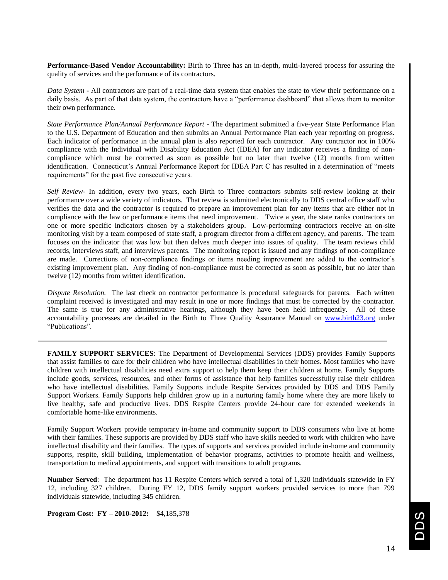**Performance-Based Vendor Accountability:** Birth to Three has an in-depth, multi-layered process for assuring the quality of services and the performance of its contractors.

*Data System* **-** All contractors are part of a real-time data system that enables the state to view their performance on a daily basis. As part of that data system, the contractors have a "performance dashboard" that allows them to monitor their own performance.

*State Performance Plan/Annual Performance Report* **-** The department submitted a five-year State Performance Plan to the U.S. Department of Education and then submits an Annual Performance Plan each year reporting on progress. Each indicator of performance in the annual plan is also reported for each contractor. Any contractor not in 100% compliance with the Individual with Disability Education Act (IDEA) for any indicator receives a finding of noncompliance which must be corrected as soon as possible but no later than twelve (12) months from written identification. Connecticut's Annual Performance Report for IDEA Part C has resulted in a determination of "meets requirements" for the past five consecutive years.

*Self Review-* In addition, every two years, each Birth to Three contractors submits self-review looking at their performance over a wide variety of indicators. That review is submitted electronically to DDS central office staff who verifies the data and the contractor is required to prepare an improvement plan for any items that are either not in compliance with the law or performance items that need improvement. Twice a year, the state ranks contractors on one or more specific indicators chosen by a stakeholders group. Low-performing contractors receive an on-site monitoring visit by a team composed of state staff, a program director from a different agency, and parents. The team focuses on the indicator that was low but then delves much deeper into issues of quality. The team reviews child records, interviews staff, and interviews parents. The monitoring report is issued and any findings of non-compliance are made. Corrections of non-compliance findings or items needing improvement are added to the contractor's existing improvement plan. Any finding of non-compliance must be corrected as soon as possible, but no later than twelve (12) months from written identification.

*Dispute Resolution.*The last check on contractor performance is procedural safeguards for parents. Each written complaint received is investigated and may result in one or more findings that must be corrected by the contractor. The same is true for any administrative hearings, although they have been held infrequently. All of these accountability processes are detailed in the Birth to Three Quality Assurance Manual on [www.birth23.org](http://www.birth23.org/) under "Publications".

**FAMILY SUPPORT SERVICES**: The Department of Developmental Services (DDS) provides Family Supports that assist families to care for their children who have intellectual disabilities in their homes. Most families who have children with intellectual disabilities need extra support to help them keep their children at home. Family Supports include goods, services, resources, and other forms of assistance that help families successfully raise their children who have intellectual disabilities. Family Supports include Respite Services provided by DDS and DDS Family Support Workers. Family Supports help children grow up in a nurturing family home where they are more likely to live healthy, safe and productive lives. DDS Respite Centers provide 24-hour care for extended weekends in comfortable home-like environments.

Family Support Workers provide temporary in-home and community support to DDS consumers who live at home with their families. These supports are provided by DDS staff who have skills needed to work with children who have intellectual disability and their families. The types of supports and services provided include in-home and community supports, respite, skill building, implementation of behavior programs, activities to promote health and wellness, transportation to medical appointments, and support with transitions to adult programs.

**Number Served**: The department has 11 Respite Centers which served a total of 1,320 individuals statewide in FY 12, including 327 children. During FY 12, DDS family support workers provided services to more than 799 individuals statewide, including 345 children.

**Program Cost: FY – 2010-2012:** \$4,185,378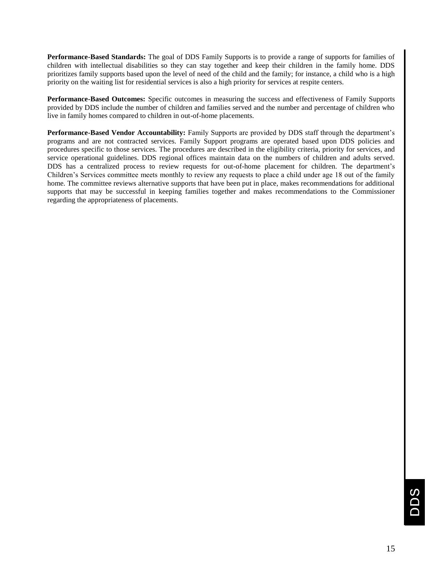**Performance-Based Standards:** The goal of DDS Family Supports is to provide a range of supports for families of children with intellectual disabilities so they can stay together and keep their children in the family home. DDS prioritizes family supports based upon the level of need of the child and the family; for instance, a child who is a high priority on the waiting list for residential services is also a high priority for services at respite centers.

**Performance-Based Outcomes:** Specific outcomes in measuring the success and effectiveness of Family Supports provided by DDS include the number of children and families served and the number and percentage of children who live in family homes compared to children in out-of-home placements.

**Performance-Based Vendor Accountability:** Family Supports are provided by DDS staff through the department's programs and are not contracted services. Family Support programs are operated based upon DDS policies and procedures specific to those services. The procedures are described in the eligibility criteria, priority for services, and service operational guidelines. DDS regional offices maintain data on the numbers of children and adults served. DDS has a centralized process to review requests for out-of-home placement for children. The department's Children's Services committee meets monthly to review any requests to place a child under age 18 out of the family home. The committee reviews alternative supports that have been put in place, makes recommendations for additional supports that may be successful in keeping families together and makes recommendations to the Commissioner regarding the appropriateness of placements.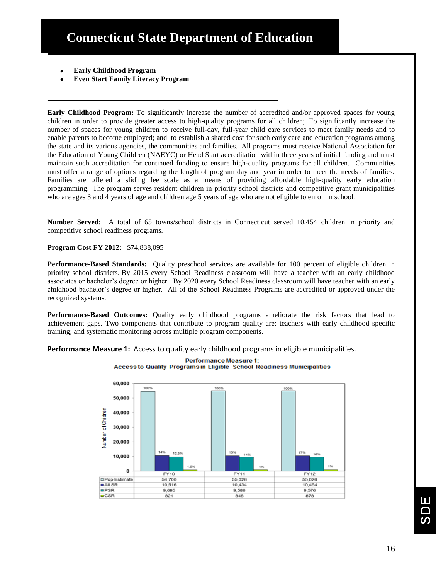- **Early Childhood Program**
- **Even Start Family Literacy Program**

**Early Childhood Program:** To significantly increase the number of accredited and/or approved spaces for young children in order to provide greater access to high-quality programs for all children; To significantly increase the number of spaces for young children to receive full-day, full-year child care services to meet family needs and to enable parents to become employed; and to establish a shared cost for such early care and education programs among the state and its various agencies, the communities and families. All programs must receive National Association for the Education of Young Children (NAEYC) or Head Start accreditation within three years of initial funding and must maintain such accreditation for continued funding to ensure high-quality programs for all children. Communities must offer a range of options regarding the length of program day and year in order to meet the needs of families. Families are offered a sliding fee scale as a means of providing affordable high-quality early education programming. The program serves resident children in priority school districts and competitive grant municipalities who are ages 3 and 4 years of age and children age 5 years of age who are not eligible to enroll in school.

**Number Served**: A total of 65 towns/school districts in Connecticut served 10,454 children in priority and competitive school readiness programs.

**Program Cost FY 2012**: \$74,838,095

**Performance-Based Standards:** Quality preschool services are available for 100 percent of eligible children in priority school districts. By 2015 every School Readiness classroom will have a teacher with an early childhood associates or bachelor's degree or higher. By 2020 every School Readiness classroom will have teacher with an early childhood bachelor's degree or higher. All of the School Readiness Programs are accredited or approved under the recognized systems.

**Performance-Based Outcomes:** Quality early childhood programs ameliorate the risk factors that lead to achievement gaps. Two components that contribute to program quality are: teachers with early childhood specific training; and systematic monitoring across multiple program components.

**Performance Measure 1:** Access to quality early childhood programs in eligible municipalities.



**Performance Measure 1: Access to Quality Programs in Eligible School Readiness Municipalities**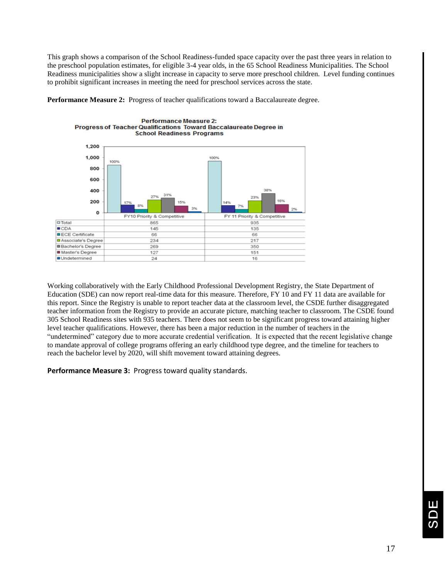This graph shows a comparison of the School Readiness-funded space capacity over the past three years in relation to the preschool population estimates, for eligible 3-4 year olds, in the 65 School Readiness Municipalities. The School Readiness municipalities show a slight increase in capacity to serve more preschool children. Level funding continues to prohibit significant increases in meeting the need for preschool services across the state.

**Performance Measure 2:** Progress of teacher qualifications toward a Baccalaureate degree.



Working collaboratively with the Early Childhood Professional Development Registry, the State Department of Education (SDE) can now report real-time data for this measure. Therefore, FY 10 and FY 11 data are available for this report. Since the Registry is unable to report teacher data at the classroom level, the CSDE further disaggregated teacher information from the Registry to provide an accurate picture, matching teacher to classroom. The CSDE found 305 School Readiness sites with 935 teachers. There does not seem to be significant progress toward attaining higher level teacher qualifications. However, there has been a major reduction in the number of teachers in the "undetermined" category due to more accurate credential verification. It is expected that the recent legislative change to mandate approval of college programs offering an early childhood type degree, and the timeline for teachers to reach the bachelor level by 2020, will shift movement toward attaining degrees.

**Performance Measure 3:** Progress toward quality standards.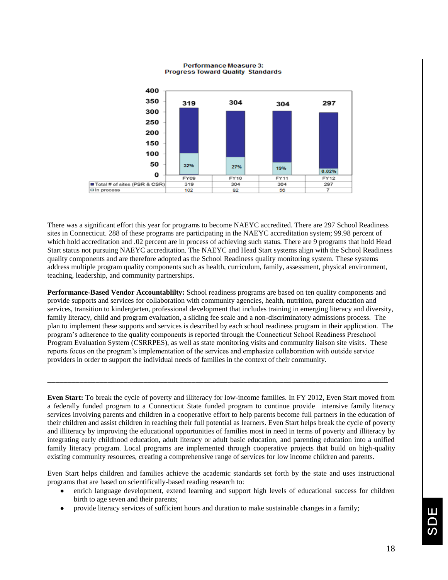

**Performance Measure 3: Progress Toward Quality Standards** 

There was a significant effort this year for programs to become NAEYC accredited. There are 297 School Readiness sites in Connecticut. 288 of these programs are participating in the NAEYC accreditation system; 99.98 percent of which hold accreditation and .02 percent are in process of achieving such status. There are 9 programs that hold Head Start status not pursuing NAEYC accreditation. The NAEYC and Head Start systems align with the School Readiness quality components and are therefore adopted as the School Readiness quality monitoring system. These systems address multiple program quality components such as health, curriculum, family, assessment, physical environment, teaching, leadership, and community partnerships.

**Performance-Based Vendor Accountablilty:** School readiness programs are based on ten quality components and provide supports and services for collaboration with community agencies, health, nutrition, parent education and services, transition to kindergarten, professional development that includes training in emerging literacy and diversity, family literacy, child and program evaluation, a sliding fee scale and a non-discriminatory admissions process. The plan to implement these supports and services is described by each school readiness program in their application. The program's adherence to the quality components is reported through the Connecticut School Readiness Preschool Program Evaluation System (CSRRPES), as well as state monitoring visits and community liaison site visits. These reports focus on the program's implementation of the services and emphasize collaboration with outside service providers in order to support the individual needs of families in the context of their community.

\_\_\_\_\_\_\_\_\_\_\_\_\_\_\_\_\_\_\_\_\_\_\_\_\_\_\_\_\_\_\_\_\_\_\_\_\_\_\_\_\_\_\_\_\_\_\_\_\_\_\_\_\_\_\_\_\_\_\_\_\_\_\_\_\_\_\_\_\_\_\_\_\_\_\_\_\_\_\_\_\_\_\_\_\_

**Even Start:** To break the cycle of poverty and illiteracy for low-income families. In FY 2012, Even Start moved from a federally funded program to a Connecticut State funded program to continue provide intensive family literacy services involving parents and children in a cooperative effort to help parents become full partners in the education of their children and assist children in reaching their full potential as learners. Even Start helps break the cycle of poverty and illiteracy by improving the educational opportunities of families most in need in terms of poverty and illiteracy by integrating early childhood education, adult literacy or adult basic education, and parenting education into a unified family literacy program. Local programs are implemented through cooperative projects that build on high-quality existing community resources, creating a comprehensive range of services for low income children and parents.

Even Start helps children and families achieve the academic standards set forth by the state and uses instructional programs that are based on scientifically-based reading research to:

- enrich language development, extend learning and support high levels of educational success for children birth to age seven and their parents;
- provide literacy services of sufficient hours and duration to make sustainable changes in a family;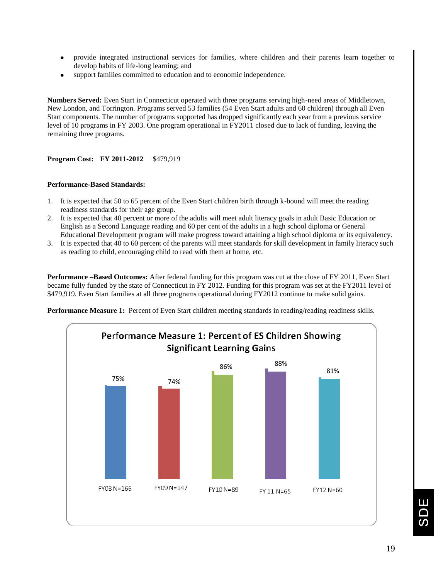- provide integrated instructional services for families, where children and their parents learn together to develop habits of life-long learning; and
- support families committed to education and to economic independence.

**Numbers Served:** Even Start in Connecticut operated with three programs serving high-need areas of Middletown, New London, and Torrington. Programs served 53 families (54 Even Start adults and 60 children) through all Even Start components. The number of programs supported has dropped significantly each year from a previous service level of 10 programs in FY 2003. One program operational in FY2011 closed due to lack of funding, leaving the remaining three programs.

#### **Program Cost: FY 2011-2012** \$479,919

#### **Performance-Based Standards:**

- 1. It is expected that 50 to 65 percent of the Even Start children birth through k-bound will meet the reading readiness standards for their age group.
- 2. It is expected that 40 percent or more of the adults will meet adult literacy goals in adult Basic Education or English as a Second Language reading and 60 per cent of the adults in a high school diploma or General Educational Development program will make progress toward attaining a high school diploma or its equivalency.
- 3. It is expected that 40 to 60 percent of the parents will meet standards for skill development in family literacy such as reading to child, encouraging child to read with them at home, etc.

**Performance –Based Outcomes:** After federal funding for this program was cut at the close of FY 2011, Even Start became fully funded by the state of Connecticut in FY 2012. Funding for this program was set at the FY2011 level of \$479,919. Even Start families at all three programs operational during FY2012 continue to make solid gains.

**Performance Measure 1:** Percent of Even Start children meeting standards in reading/reading readiness skills.

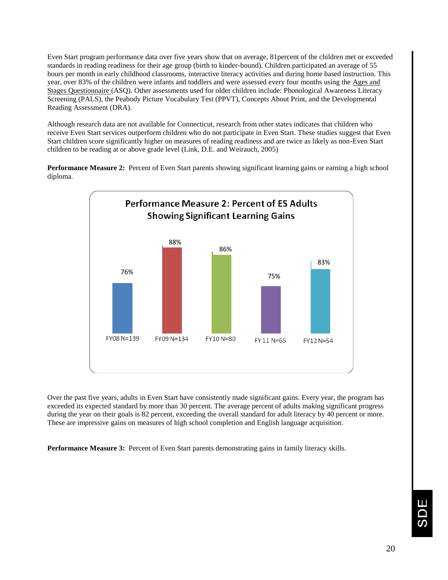Even Start program performance data over five years show that on average, 81percent of the children met or exceeded standards in reading readiness for their age group (birth to kinder-bound). Children participated an average of 55 hours per month in early childhood classrooms, interactive literacy activities and during home based instruction. This year, over 83% of the children were infants and toddlers and were assessed every four months using the Ages and Stages Questionnaire (ASQ). Other assessments used for older children include: Phonological Awareness Literacy Screening (PALS), the Peabody Picture Vocabulary Test (PPVT), Concepts About Print, and the Developmental Reading Assessment (DRA).

Although research data are not available for Connecticut, research from other states indicates that children who receive Even Start services outperform children who do not participate in Even Start. These studies suggest that Even Start children score significantly higher on measures of reading readiness and are twice as likely as non-Even Start children to be reading at or above grade level (Link, D.E. and Weirauch, 2005)

**Performance Measure 2:** Percent of Even Start parents showing significant learning gains or earning a high school diploma.



Over the past five years, adults in Even Start have consistently made significant gains. Every year, the program has exceeded its expected standard by more than 30 percent. The average percent of adults making significant progress during the year on their goals is 82 percent, exceeding the overall standard for adult literacy by 40 percent or more. These are impressive gains on measures of high school completion and English language acquisition.

**Performance Measure 3:** Percent of Even Start parents demonstrating gains in family literacy skills.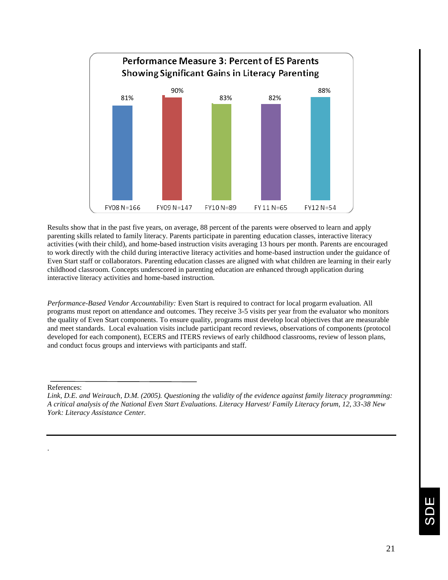

Results show that in the past five years, on average, 88 percent of the parents were observed to learn and apply parenting skills related to family literacy. Parents participate in parenting education classes, interactive literacy activities (with their child), and home-based instruction visits averaging 13 hours per month. Parents are encouraged to work directly with the child during interactive literacy activities and home-based instruction under the guidance of Even Start staff or collaborators. Parenting education classes are aligned with what children are learning in their early childhood classroom. Concepts underscored in parenting education are enhanced through application during interactive literacy activities and home-based instruction.

*Performance-Based Vendor Accountability:* Even Start is required to contract for local progarm evaluation. All programs must report on attendance and outcomes. They receive 3-5 visits per year from the evaluator who monitors the quality of Even Start components. To ensure quality, programs must develop local objectives that are measurable and meet standards. Local evaluation visits include participant record reviews, observations of components (protocol developed for each component), ECERS and ITERS reviews of early childhood classrooms, review of lesson plans, and conduct focus groups and interviews with participants and staff.

References:

.

*Link, D.E. and Weirauch, D.M. (2005). Questioning the validity of the evidence against family literacy programming: A critical analysis of the National Even Start Evaluations. Literacy Harvest/ Family Literacy forum, 12, 33-38 New York: Literacy Assistance Center.*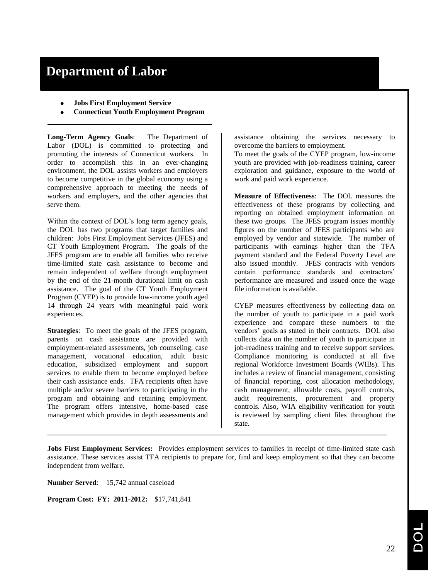# **Department of Labor**

- **Jobs First Employment Service**
- **Connecticut Youth Employment Program**

**Long-Term Agency Goals**: The Department of Labor (DOL) is committed to protecting and promoting the interests of Connecticut workers. In order to accomplish this in an ever-changing environment, the DOL assists workers and employers to become competitive in the global economy using a comprehensive approach to meeting the needs of workers and employers, and the other agencies that serve them.

Within the context of DOL's long term agency goals, the DOL has two programs that target families and children: Jobs First Employment Services (JFES) and CT Youth Employment Program. The goals of the JFES program are to enable all families who receive time-limited state cash assistance to become and remain independent of welfare through employment by the end of the 21-month durational limit on cash assistance. The goal of the CT Youth Employment Program (CYEP) is to provide low-income youth aged 14 through 24 years with meaningful paid work experiences.

**Strategies**: To meet the goals of the JFES program, parents on cash assistance are provided with employment-related assessments, job counseling, case management, vocational education, adult basic education, subsidized employment and support services to enable them to become employed before their cash assistance ends. TFA recipients often have multiple and/or severe barriers to participating in the program and obtaining and retaining employment. The program offers intensive, home-based case management which provides in depth assessments and

assistance obtaining the services necessary to overcome the barriers to employment.

To meet the goals of the CYEP program, low-income youth are provided with job-readiness training, career exploration and guidance, exposure to the world of work and paid work experience.

**Measure of Effectiveness**: The DOL measures the effectiveness of these programs by collecting and reporting on obtained employment information on these two groups. The JFES program issues monthly figures on the number of JFES participants who are employed by vendor and statewide. The number of participants with earnings higher than the TFA payment standard and the Federal Poverty Level are also issued monthly. JFES contracts with vendors contain performance standards and contractors' performance are measured and issued once the wage file information is available.

CYEP measures effectiveness by collecting data on the number of youth to participate in a paid work experience and compare these numbers to the vendors' goals as stated in their contracts. DOL also collects data on the number of youth to participate in job-readiness training and to receive support services. Compliance monitoring is conducted at all five regional Workforce Investment Boards (WIBs). This includes a review of financial management, consisting of financial reporting, cost allocation methodology, cash management, allowable costs, payroll controls, audit requirements, procurement and property controls. Also, WIA eligibility verification for youth is reviewed by sampling client files throughout the state.

**Jobs First Employment Services:** Provides employment services to families in receipt of time-limited state cash assistance. These services assist TFA recipients to prepare for, find and keep employment so that they can become independent from welfare.

\_\_\_\_\_\_\_\_\_\_\_\_\_\_\_\_\_\_\_\_\_\_\_\_\_\_\_\_\_\_\_\_\_\_\_\_\_\_\_\_\_\_\_\_\_\_\_\_\_\_\_\_\_\_\_\_\_\_\_\_\_\_\_\_\_\_\_\_\_\_\_\_\_\_\_\_\_\_\_\_\_\_\_\_\_\_\_\_\_\_\_\_\_

**Number Served**: 15,742 annual caseload

**Program Cost: FY: 2011-2012:** \$17,741,841

22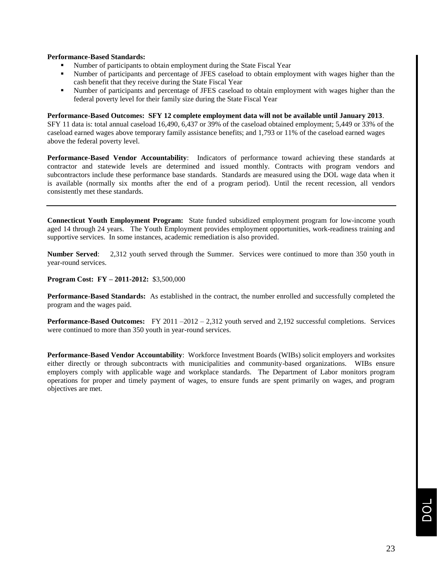#### **Performance-Based Standards:**

- Number of participants to obtain employment during the State Fiscal Year
- Number of participants and percentage of JFES caseload to obtain employment with wages higher than the cash benefit that they receive during the State Fiscal Year
- Number of participants and percentage of JFES caseload to obtain employment with wages higher than the federal poverty level for their family size during the State Fiscal Year

#### **Performance-Based Outcomes: SFY 12 complete employment data will not be available until January 2013**.

SFY 11 data is: total annual caseload 16,490, 6,437 or 39% of the caseload obtained employment; 5,449 or 33% of the caseload earned wages above temporary family assistance benefits; and 1,793 or 11% of the caseload earned wages above the federal poverty level.

**Performance-Based Vendor Accountability**: Indicators of performance toward achieving these standards at contractor and statewide levels are determined and issued monthly. Contracts with program vendors and subcontractors include these performance base standards. Standards are measured using the DOL wage data when it is available (normally six months after the end of a program period). Until the recent recession, all vendors consistently met these standards.

**Connecticut Youth Employment Program:** State funded subsidized employment program for low-income youth aged 14 through 24 years. The Youth Employment provides employment opportunities, work-readiness training and supportive services. In some instances, academic remediation is also provided.

**Number Served**: 2,312 youth served through the Summer. Services were continued to more than 350 youth in year-round services.

#### **Program Cost: FY – 2011-2012:** \$3,500,000

**Performance-Based Standards:** As established in the contract, the number enrolled and successfully completed the program and the wages paid.

**Performance-Based Outcomes:** FY 2011 –2012 – 2,312 youth served and 2,192 successful completions. Services were continued to more than 350 youth in year-round services.

**Performance-Based Vendor Accountability**: Workforce Investment Boards (WIBs) solicit employers and worksites either directly or through subcontracts with municipalities and community-based organizations. WIBs ensure employers comply with applicable wage and workplace standards. The Department of Labor monitors program operations for proper and timely payment of wages, to ensure funds are spent primarily on wages, and program objectives are met.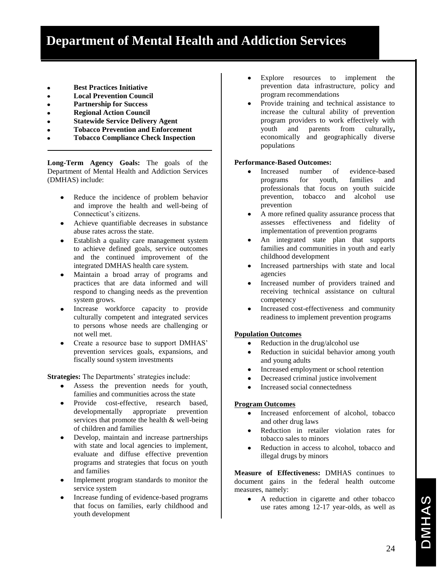- **Best Practices Initiative**
- **Local Prevention Council**
- **Partnership for Success**
- **Regional Action Council**  $\bullet$
- **Statewide Service Delivery Agent**
- **Tobacco Prevention and Enforcement**
- **Tobacco Compliance Check Inspection**

**Long-Term Agency Goals:** The goals of the Department of Mental Health and Addiction Services (DMHAS) include:

- Reduce the incidence of problem behavior and improve the health and well-being of Connecticut's citizens.
- Achieve quantifiable decreases in substance abuse rates across the state.
- Establish a quality care management system to achieve defined goals, service outcomes and the continued improvement of the integrated DMHAS health care system.
- Maintain a broad array of programs and practices that are data informed and will respond to changing needs as the prevention system grows.
- Increase workforce capacity to provide culturally competent and integrated services to persons whose needs are challenging or not well met.
- Create a resource base to support DMHAS' prevention services goals, expansions, and fiscally sound system investments

**Strategies:** The Departments' strategies include:

- Assess the prevention needs for youth, families and communities across the state
- Provide cost-effective, research based, developmentally appropriate prevention services that promote the health & well-being of children and families
- Develop, maintain and increase partnerships with state and local agencies to implement, evaluate and diffuse effective prevention programs and strategies that focus on youth and families
- Implement program standards to monitor the service system
- Increase funding of evidence-based programs that focus on families, early childhood and youth development
- Explore resources to implement the  $\bullet$ prevention data infrastructure, policy and program recommendations
- $\bullet$ Provide training and technical assistance to increase the cultural ability of prevention program providers to work effectively with youth and parents from culturally**,**  economically and geographically diverse populations

#### **Performance-Based Outcomes:**

- Increased number of evidence-based  $\bullet$ programs for youth, families and professionals that focus on youth suicide prevention, tobacco and alcohol use prevention
- A more refined quality assurance process that  $\bullet$ assesses effectiveness and fidelity of implementation of prevention programs
- An integrated state plan that supports  $\bullet$ families and communities in youth and early childhood development
- Increased partnerships with state and local  $\bullet$ agencies
- Increased number of providers trained and  $\bullet$ receiving technical assistance on cultural competency
- Increased cost-effectiveness and community  $\bullet$ readiness to implement prevention programs

#### **Population Outcomes**

- Reduction in the drug/alcohol use  $\bullet$
- Reduction in suicidal behavior among youth  $\bullet$ and young adults
- Increased employment or school retention
- Decreased criminal justice involvement  $\bullet$
- Increased social connectedness  $\bullet$

#### **Program Outcomes**

- Increased enforcement of alcohol, tobacco  $\bullet$ and other drug laws
- $\bullet$ Reduction in retailer violation rates for tobacco sales to minors
- Reduction in access to alcohol, tobacco and  $\bullet$ illegal drugs by minors

**Measure of Effectiveness:** DMHAS continues to document gains in the federal health outcome measures, namely:

 $\bullet$ A reduction in cigarette and other tobacco use rates among 12-17 year-olds, as well as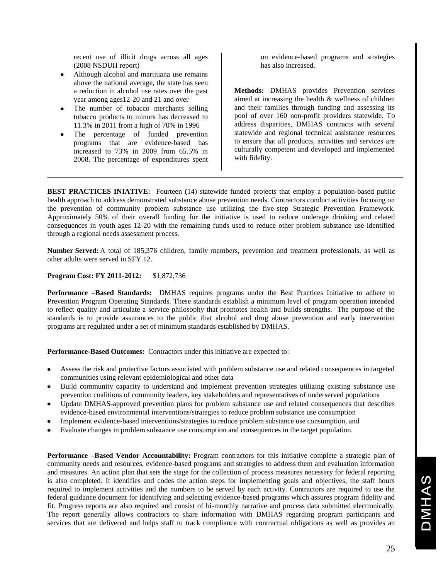recent use of illicit drugs across all ages (2008 NSDUH report)

- Although alcohol and marijuana use remains above the national average, the state has seen a reduction in alcohol use rates over the past year among ages12-20 and 21 and over
- The number of tobacco merchants selling tobacco products to minors has decreased to 11.3% in 2011 from a high of 70% in 1996
- The percentage of funded prevention programs that are evidence-based has increased to 73% in 2009 from 65.5% in 2008. The percentage of expenditures spent

on evidence-based programs and strategies has also increased.

**Methods:** DMHAS provides Prevention services aimed at increasing the health & wellness of children and their families through funding and assessing its pool of over 160 non-profit providers statewide. To address disparities, DMHAS contracts with several statewide and regional technical assistance resources to ensure that all products, activities and services are culturally competent and developed and implemented with fidelity.

**BEST PRACTICES INIATIVE:** Fourteen (14) statewide funded projects that employ a population-based public health approach to address demonstrated substance abuse prevention needs. Contractors conduct activities focusing on the prevention of community problem substance use utilizing the five-step Strategic Prevention Framework. Approximately 50% of their overall funding for the initiative is used to reduce underage drinking and related consequences in youth ages 12-20 with the remaining funds used to reduce other problem substance use identified through a regional needs assessment process.

**Number Served:**A total of 185,376 children, family members, prevention and treatment professionals, as well as other adults were served in SFY 12.

#### **Program Cost: FY 2011-2012:** \$1,872,736

**Performance –Based Standards:** DMHAS requires programs under the Best Practices Initiative to adhere to Prevention Program Operating Standards. These standards establish a minimum level of program operation intended to reflect quality and articulate a service philosophy that promotes health and builds strengths. The purpose of the standards is to provide assurances to the public that alcohol and drug abuse prevention and early intervention programs are regulated under a set of minimum standards established by DMHAS.

**Performance-Based Outcomes:** Contractors under this initiative are expected to:

- Assess the risk and protective factors associated with problem substance use and related consequences in targeted communities using relevant epidemiological and other data
- Build community capacity to understand and implement prevention strategies utilizing existing substance use prevention coalitions of community leaders, key stakeholders and representatives of underserved populations
- Update DMHAS-approved prevention plans for problem substance use and related consequences that describes evidence-based environmental interventions/strategies to reduce problem substance use consumption
- Implement evidence-based interventions/strategies to reduce problem substance use consumption, and
- Evaluate changes in problem substance use consumption and consequences in the target population.

**Performance –Based Vendor Accountability:** Program contractors for this initiative complete a strategic plan of community needs and resources, evidence-based programs and strategies to address them and evaluation information and measures. An action plan that sets the stage for the collection of process measures necessary for federal reporting is also completed. It identifies and codes the action steps for implementing goals and objectives, the staff hours required to implement activities and the numbers to be served by each activity. Contractors are required to use the federal guidance document for identifying and selecting evidence-based programs which assures program fidelity and fit. Progress reports are also required and consist of bi-monthly narrative and process data submitted electronically. The report generally allows contractors to share information with DMHAS regarding program participants and services that are delivered and helps staff to track compliance with contractual obligations as well as provides an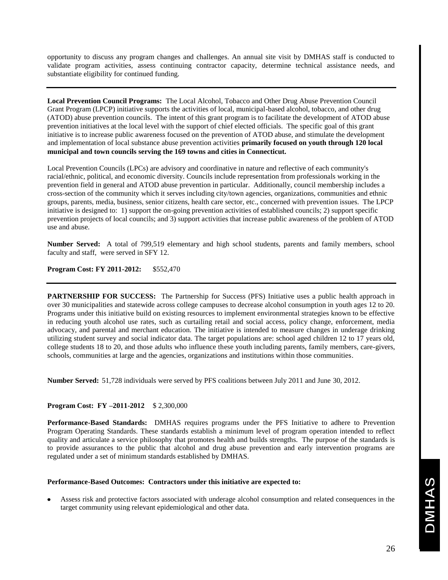opportunity to discuss any program changes and challenges. An annual site visit by DMHAS staff is conducted to validate program activities, assess continuing contractor capacity, determine technical assistance needs, and substantiate eligibility for continued funding.

**Local Prevention Council Programs:** The Local Alcohol, Tobacco and Other Drug Abuse Prevention Council Grant Program (LPCP) initiative supports the activities of local, municipal-based alcohol, tobacco, and other drug (ATOD) abuse prevention councils. The intent of this grant program is to facilitate the development of ATOD abuse prevention initiatives at the local level with the support of chief elected officials. The specific goal of this grant initiative is to increase public awareness focused on the prevention of ATOD abuse, and stimulate the development and implementation of local substance abuse prevention activities **primarily focused on youth through 120 local municipal and town councils serving the 169 towns and cities in Connecticut.**

Local Prevention Councils (LPCs) are advisory and coordinative in nature and reflective of each community's racial/ethnic, political, and economic diversity. Councils include representation from professionals working in the prevention field in general and ATOD abuse prevention in particular. Additionally, council membership includes a cross-section of the community which it serves including city/town agencies, organizations, communities and ethnic groups, parents, media, business, senior citizens, health care sector, etc., concerned with prevention issues. The LPCP initiative is designed to: 1) support the on-going prevention activities of established councils; 2) support specific prevention projects of local councils; and 3) support activities that increase public awareness of the problem of ATOD use and abuse.

**Number Served:** A total of 799,519 elementary and high school students, parents and family members, school faculty and staff, were served in SFY 12.

**Program Cost: FY 2011-2012:** \$552,470

**PARTNERSHIP FOR SUCCESS:** The Partnership for Success (PFS) Initiative uses a public health approach in over 30 municipalities and statewide across college campuses to decrease alcohol consumption in youth ages 12 to 20. Programs under this initiative build on existing resources to implement environmental strategies known to be effective in reducing youth alcohol use rates, such as curtailing retail and social access, policy change, enforcement, media advocacy, and parental and merchant education. The initiative is intended to measure changes in underage drinking utilizing student survey and social indicator data. The target populations are: school aged children 12 to 17 years old, college students 18 to 20, and those adults who influence these youth including parents, family members, care-givers, schools, communities at large and the agencies, organizations and institutions within those communities.

**Number Served:** 51,728 individuals were served by PFS coalitions between July 2011 and June 30, 2012.

#### **Program Cost: FY –2011-2012** \$ 2,300,000

**Performance-Based Standards:** DMHAS requires programs under the PFS Initiative to adhere to Prevention Program Operating Standards. These standards establish a minimum level of program operation intended to reflect quality and articulate a service philosophy that promotes health and builds strengths. The purpose of the standards is to provide assurances to the public that alcohol and drug abuse prevention and early intervention programs are regulated under a set of minimum standards established by DMHAS.

#### **Performance-Based Outcomes: Contractors under this initiative are expected to:**

Assess risk and protective factors associated with underage alcohol consumption and related consequences in the target community using relevant epidemiological and other data.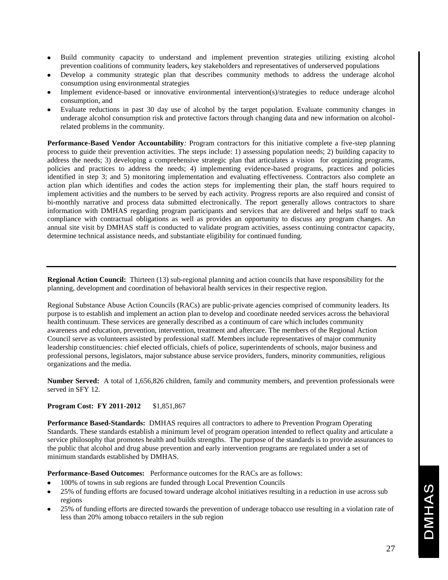- Build community capacity to understand and implement prevention strategies utilizing existing alcohol prevention coalitions of community leaders, key stakeholders and representatives of underserved populations
- Develop a community strategic plan that describes community methods to address the underage alcohol consumption using environmental strategies
- Implement evidence-based or innovative environmental intervention(s)/strategies to reduce underage alcohol consumption, and
- Evaluate reductions in past 30 day use of alcohol by the target population. Evaluate community changes in underage alcohol consumption risk and protective factors through changing data and new information on alcoholrelated problems in the community.

**Performance-Based Vendor Accountability***:* Program contractors for this initiative complete a five-step planning process to guide their prevention activities. The steps include: 1) assessing population needs; 2) building capacity to address the needs; 3) developing a comprehensive strategic plan that articulates a vision for organizing programs, policies and practices to address the needs; 4) implementing evidence-based programs, practices and policies identified in step 3; and 5) monitoring implementation and evaluating effectiveness. Contractors also complete an action plan which identifies and codes the action steps for implementing their plan, the staff hours required to implement activities and the numbers to be served by each activity. Progress reports are also required and consist of bi-monthly narrative and process data submitted electronically. The report generally allows contractors to share information with DMHAS regarding program participants and services that are delivered and helps staff to track compliance with contractual obligations as well as provides an opportunity to discuss any program changes. An annual site visit by DMHAS staff is conducted to validate program activities, assess continuing contractor capacity, determine technical assistance needs, and substantiate eligibility for continued funding.

**Regional Action Council:** Thirteen (13) sub-regional planning and action councils that have responsibility for the planning, development and coordination of behavioral health services in their respective region.

Regional Substance Abuse Action Councils (RACs) are public-private agencies comprised of community leaders. Its purpose is to establish and implement an action plan to develop and coordinate needed services across the behavioral health continuum. These services are generally described as a continuum of care which includes community awareness and education, prevention, intervention, treatment and aftercare. The members of the Regional Action Council serve as volunteers assisted by professional staff. Members include representatives of major community leadership constituencies: chief elected officials, chiefs of police, superintendents of schools, major business and professional persons, legislators, major substance abuse service providers, funders, minority communities, religious organizations and the media.

**Number Served:** A total of 1,656,826 children, family and community members, and prevention professionals were served in SFY 12.

#### **Program Cost: FY 2011-2012** \$1,851,867

**Performance Based-Standards:** DMHAS requires all contractors to adhere to Prevention Program Operating Standards. These standards establish a minimum level of program operation intended to reflect quality and articulate a service philosophy that promotes health and builds strengths. The purpose of the standards is to provide assurances to the public that alcohol and drug abuse prevention and early intervention programs are regulated under a set of minimum standards established by DMHAS.

**Performance-Based Outcomes:** Performance outcomes for the RACs are as follows:

- 100% of towns in sub regions are funded through Local Prevention Councils
- 25% of funding efforts are focused toward underage alcohol initiatives resulting in a reduction in use across sub regions
- 25% of funding efforts are directed towards the prevention of underage tobacco use resulting in a violation rate of less than 20% among tobacco retailers in the sub region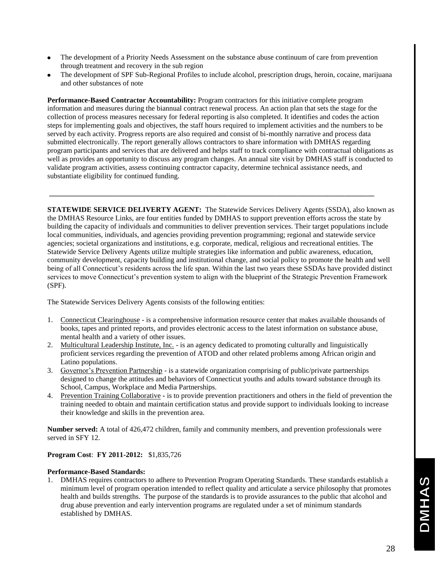- The development of a Priority Needs Assessment on the substance abuse continuum of care from prevention through treatment and recovery in the sub region
- The development of SPF Sub-Regional Profiles to include alcohol, prescription drugs, heroin, cocaine, marijuana and other substances of note

**Performance-Based Contractor Accountability:** Program contractors for this initiative complete program information and measures during the biannual contract renewal process. An action plan that sets the stage for the collection of process measures necessary for federal reporting is also completed. It identifies and codes the action steps for implementing goals and objectives, the staff hours required to implement activities and the numbers to be served by each activity. Progress reports are also required and consist of bi-monthly narrative and process data submitted electronically. The report generally allows contractors to share information with DMHAS regarding program participants and services that are delivered and helps staff to track compliance with contractual obligations as well as provides an opportunity to discuss any program changes. An annual site visit by DMHAS staff is conducted to validate program activities, assess continuing contractor capacity, determine technical assistance needs, and substantiate eligibility for continued funding.

**\_\_\_\_\_\_\_\_\_\_\_\_\_\_\_\_\_\_\_\_\_\_\_\_\_\_\_\_\_\_\_\_\_\_\_\_\_\_\_\_\_\_\_\_\_\_\_\_\_\_\_\_\_\_\_\_\_\_\_\_\_\_\_\_\_\_\_\_\_\_\_\_\_\_\_\_\_\_\_\_\_\_\_\_\_\_\_\_\_**

**STATEWIDE SERVICE DELIVERTY AGENT:** The Statewide Services Delivery Agents (SSDA), also known as the DMHAS Resource Links, are four entities funded by DMHAS to support prevention efforts across the state by building the capacity of individuals and communities to deliver prevention services. Their target populations include local communities, individuals, and agencies providing prevention programming; regional and statewide service agencies; societal organizations and institutions, e.g. corporate, medical, religious and recreational entities. The Statewide Service Delivery Agents utilize multiple strategies like information and public awareness, education, community development, capacity building and institutional change, and social policy to promote the health and well being of all Connecticut's residents across the life span. Within the last two years these SSDAs have provided distinct services to move Connecticut's prevention system to align with the blueprint of the Strategic Prevention Framework (SPF).

The Statewide Services Delivery Agents consists of the following entities:

- 1. Connecticut Clearinghouse is a comprehensive information resource center that makes available thousands of books, tapes and printed reports, and provides electronic access to the latest information on substance abuse, mental health and a variety of other issues.
- 2. Multicultural Leadership Institute, Inc. is an agency dedicated to promoting culturally and linguistically proficient services regarding the prevention of ATOD and other related problems among African origin and Latino populations.
- 3. Governor's Prevention Partnership is a statewide organization comprising of public/private partnerships designed to change the attitudes and behaviors of Connecticut youths and adults toward substance through its School, Campus, Workplace and Media Partnerships.
- 4. Prevention Training Collaborative **-** is to provide prevention practitioners and others in the field of prevention the training needed to obtain and maintain certification status and provide support to individuals looking to increase their knowledge and skills in the prevention area.

**Number served:** A total of 426,472 children, family and community members, and prevention professionals were served in SFY 12.

#### **Program Cost**: **FY 2011-2012:** \$1,835,726

#### **Performance-Based Standards:**

1. DMHAS requires contractors to adhere to Prevention Program Operating Standards. These standards establish a minimum level of program operation intended to reflect quality and articulate a service philosophy that promotes health and builds strengths. The purpose of the standards is to provide assurances to the public that alcohol and drug abuse prevention and early intervention programs are regulated under a set of minimum standards established by DMHAS.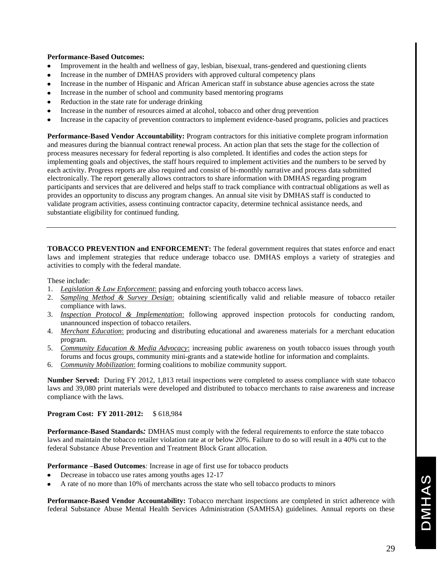#### **Performance-Based Outcomes:**

- $\bullet$ Improvement in the health and wellness of gay, lesbian, bisexual, trans-gendered and questioning clients
- Increase in the number of DMHAS providers with approved cultural competency plans
- Increase in the number of Hispanic and African American staff in substance abuse agencies across the state  $\bullet$
- Increase in the number of school and community based mentoring programs
- Reduction in the state rate for underage drinking
- Increase in the number of resources aimed at alcohol, tobacco and other drug prevention
- Increase in the capacity of prevention contractors to implement evidence-based programs, policies and practices

**Performance-Based Vendor Accountability:** Program contractors for this initiative complete program information and measures during the biannual contract renewal process. An action plan that sets the stage for the collection of process measures necessary for federal reporting is also completed. It identifies and codes the action steps for implementing goals and objectives, the staff hours required to implement activities and the numbers to be served by each activity. Progress reports are also required and consist of bi-monthly narrative and process data submitted electronically. The report generally allows contractors to share information with DMHAS regarding program participants and services that are delivered and helps staff to track compliance with contractual obligations as well as provides an opportunity to discuss any program changes. An annual site visit by DMHAS staff is conducted to validate program activities, assess continuing contractor capacity, determine technical assistance needs, and substantiate eligibility for continued funding.

**TOBACCO PREVENTION and ENFORCEMENT:** The federal government requires that states enforce and enact laws and implement strategies that reduce underage tobacco use. DMHAS employs a variety of strategies and activities to comply with the federal mandate.

These include:

- 1. *Legislation & Law Enforcement*: passing and enforcing youth tobacco access laws.
- 2. *Sampling Method & Survey Design*: obtaining scientifically valid and reliable measure of tobacco retailer compliance with laws.
- 3. *Inspection Protocol & Implementation*: following approved inspection protocols for conducting random, unannounced inspection of tobacco retailers.
- 4. *Merchant Education*: producing and distributing educational and awareness materials for a merchant education program.
- 5. *Community Education & Media Advocacy*: increasing public awareness on youth tobacco issues through youth forums and focus groups, community mini-grants and a statewide hotline for information and complaints.
- 6. *Community Mobilization*: forming coalitions to mobilize community support.

**Number Served:** During FY 2012, 1,813 retail inspections were completed to assess compliance with state tobacco laws and 39,080 print materials were developed and distributed to tobacco merchants to raise awareness and increase compliance with the laws.

#### **Program Cost: FY 2011-2012:** \$ 618,984

**Performance-Based Standards***:* DMHAS must comply with the federal requirements to enforce the state tobacco laws and maintain the tobacco retailer violation rate at or below 20%. Failure to do so will result in a 40% cut to the federal Substance Abuse Prevention and Treatment Block Grant allocation.

**Performance –Based Outcomes***:* Increase in age of first use for tobacco products

- Decrease in tobacco use rates among youths ages 12-17
- A rate of no more than 10% of merchants across the state who sell tobacco products to minors

**Performance-Based Vendor Accountability:** Tobacco merchant inspections are completed in strict adherence with federal Substance Abuse Mental Health Services Administration (SAMHSA) guidelines. Annual reports on these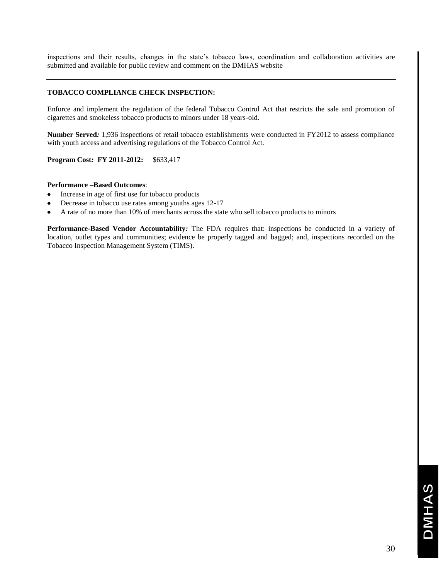inspections and their results, changes in the state's tobacco laws, coordination and collaboration activities are submitted and available for public review and comment on the DMHAS website

#### **TOBACCO COMPLIANCE CHECK INSPECTION:**

Enforce and implement the regulation of the federal Tobacco Control Act that restricts the sale and promotion of cigarettes and smokeless tobacco products to minors under 18 years-old.

**Number Served***:* 1,936 inspections of retail tobacco establishments were conducted in FY2012 to assess compliance with youth access and advertising regulations of the Tobacco Control Act.

**Program Cost***:* **FY 2011-2012:** \$633,417

#### **Performance –Based Outcomes**:

- Increase in age of first use for tobacco products  $\bullet$
- Decrease in tobacco use rates among youths ages 12-17
- A rate of no more than 10% of merchants across the state who sell tobacco products to minors

**Performance-Based Vendor Accountability***:* The FDA requires that: inspections be conducted in a variety of location, outlet types and communities; evidence be properly tagged and bagged; and, inspections recorded on the Tobacco Inspection Management System (TIMS).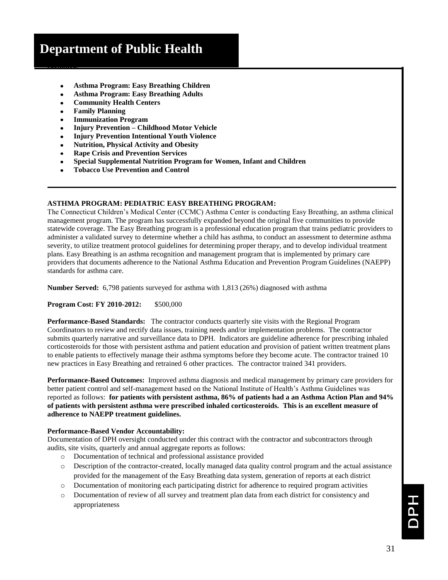# **Department of Public Health**

- **Asthma Program: Easy Breathing Children**
- **Asthma Program: Easy Breathing Adults**
- **Community Health Centers**
- **Family Planning**
- **Immunization Program**
- **Injury Prevention – Childhood Motor Vehicle**
- **Injury Prevention Intentional Youth Violence**
- **Nutrition, Physical Activity and Obesity**
- **Rape Crisis and Prevention Services**
- **Special Supplemental Nutrition Program for Women, Infant and Children**
- **Tobacco Use Prevention and Control**

#### **ASTHMA PROGRAM: PEDIATRIC EASY BREATHING PROGRAM:**

The Connecticut Children's Medical Center (CCMC) Asthma Center is conducting Easy Breathing, an asthma clinical management program. The program has successfully expanded beyond the original five communities to provide statewide coverage. The Easy Breathing program is a professional education program that trains pediatric providers to administer a validated survey to determine whether a child has asthma, to conduct an assessment to determine asthma severity, to utilize treatment protocol guidelines for determining proper therapy, and to develop individual treatment plans. Easy Breathing is an asthma recognition and management program that is implemented by primary care providers that documents adherence to the National Asthma Education and Prevention Program Guidelines (NAEPP) standards for asthma care.

**Number Served:** 6,798 patients surveyed for asthma with 1,813 (26%) diagnosed with asthma

#### **Program Cost: FY 2010-2012:** \$500,000

**Performance-Based Standards:** The contractor conducts quarterly site visits with the Regional Program Coordinators to review and rectify data issues, training needs and/or implementation problems. The contractor submits quarterly narrative and surveillance data to DPH. Indicators are guideline adherence for prescribing inhaled corticosteroids for those with persistent asthma and patient education and provision of patient written treatment plans to enable patients to effectively manage their asthma symptoms before they become acute. The contractor trained 10 new practices in Easy Breathing and retrained 6 other practices. The contractor trained 341 providers.

**Performance-Based Outcomes:** Improved asthma diagnosis and medical management by primary care providers for better patient control and self-management based on the National Institute of Health's Asthma Guidelines was reported as follows: **for patients with persistent asthma, 86% of patients had a an Asthma Action Plan and 94% of patients with persistent asthma were prescribed inhaled corticosteroids. This is an excellent measure of adherence to NAEPP treatment guidelines.** 

#### **Performance-Based Vendor Accountability:**

Documentation of DPH oversight conducted under this contract with the contractor and subcontractors through audits, site visits, quarterly and annual aggregate reports as follows:

- o Documentation of technical and professional assistance provided
- o Description of the contractor-created, locally managed data quality control program and the actual assistance provided for the management of the Easy Breathing data system, generation of reports at each district
- o Documentation of monitoring each participating district for adherence to required program activities
- o Documentation of review of all survey and treatment plan data from each district for consistency and appropriateness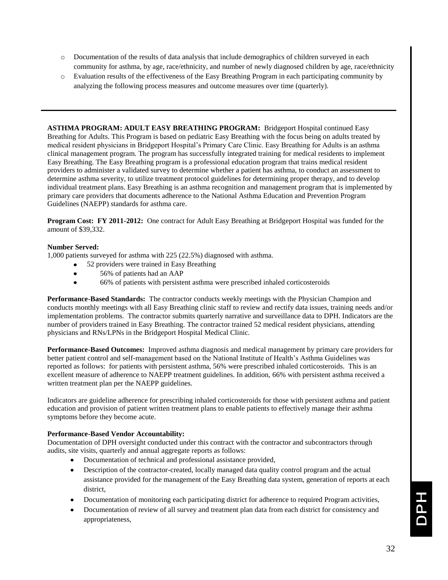- o Documentation of the results of data analysis that include demographics of children surveyed in each community for asthma, by age, race/ethnicity, and number of newly diagnosed children by age, race/ethnicity
- o Evaluation results of the effectiveness of the Easy Breathing Program in each participating community by analyzing the following process measures and outcome measures over time (quarterly).

**ASTHMA PROGRAM: ADULT EASY BREATHING PROGRAM:** Bridgeport Hospital continued Easy Breathing for Adults. This Program is based on pediatric Easy Breathing with the focus being on adults treated by medical resident physicians in Bridgeport Hospital's Primary Care Clinic. Easy Breathing for Adults is an asthma clinical management program. The program has successfully integrated training for medical residents to implement Easy Breathing. The Easy Breathing program is a professional education program that trains medical resident providers to administer a validated survey to determine whether a patient has asthma, to conduct an assessment to determine asthma severity, to utilize treatment protocol guidelines for determining proper therapy, and to develop individual treatment plans. Easy Breathing is an asthma recognition and management program that is implemented by primary care providers that documents adherence to the National Asthma Education and Prevention Program Guidelines (NAEPP) standards for asthma care.

**Program Cost: FY 2011-2012:** One contract for Adult Easy Breathing at Bridgeport Hospital was funded for the amount of \$39,332.

#### **Number Served:**

1,000 patients surveyed for asthma with 225 (22.5%) diagnosed with asthma.

- 52 providers were trained in Easy Breathing
- 56% of patients had an AAP
- 66% of patients with persistent asthma were prescribed inhaled corticosteroids  $\bullet$

**Performance-Based Standards:** The contractor conducts weekly meetings with the Physician Champion and conducts monthly meetings with all Easy Breathing clinic staff to review and rectify data issues, training needs and/or implementation problems. The contractor submits quarterly narrative and surveillance data to DPH. Indicators are the number of providers trained in Easy Breathing. The contractor trained 52 medical resident physicians, attending physicians and RNs/LPNs in the Bridgeport Hospital Medical Clinic.

**Performance-Based Outcomes:** Improved asthma diagnosis and medical management by primary care providers for better patient control and self-management based on the National Institute of Health's Asthma Guidelines was reported as follows: for patients with persistent asthma, 56% were prescribed inhaled corticosteroids. This is an excellent measure of adherence to NAEPP treatment guidelines. In addition, 66% with persistent asthma received a written treatment plan per the NAEPP guidelines.

Indicators are guideline adherence for prescribing inhaled corticosteroids for those with persistent asthma and patient education and provision of patient written treatment plans to enable patients to effectively manage their asthma symptoms before they become acute.

#### **Performance-Based Vendor Accountability:**

Documentation of DPH oversight conducted under this contract with the contractor and subcontractors through audits, site visits, quarterly and annual aggregate reports as follows:

- Documentation of technical and professional assistance provided,
- Description of the contractor-created, locally managed data quality control program and the actual assistance provided for the management of the Easy Breathing data system, generation of reports at each district,
- Documentation of monitoring each participating district for adherence to required Program activities,
- Documentation of review of all survey and treatment plan data from each district for consistency and appropriateness,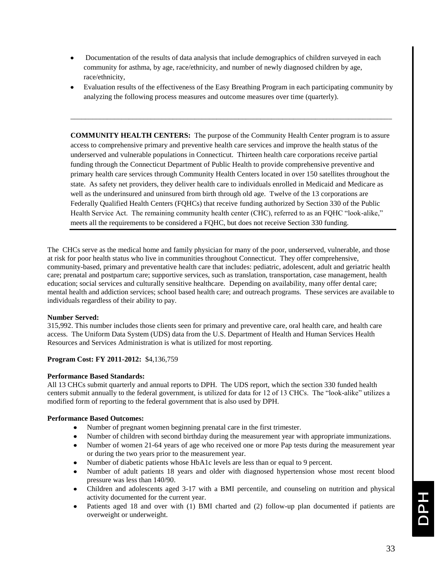- Documentation of the results of data analysis that include demographics of children surveyed in each community for asthma, by age, race/ethnicity, and number of newly diagnosed children by age, race/ethnicity,
- Evaluation results of the effectiveness of the Easy Breathing Program in each participating community by analyzing the following process measures and outcome measures over time (quarterly).

\_\_\_\_\_\_\_\_\_\_\_\_\_\_\_\_\_\_\_\_\_\_\_\_\_\_\_\_\_\_\_\_\_\_\_\_\_\_\_\_\_\_\_\_\_\_\_\_\_\_\_\_\_\_\_\_\_\_\_\_\_\_\_\_\_\_\_\_\_\_\_\_\_\_\_\_\_\_\_\_\_\_\_\_\_\_\_\_

**COMMUNITY HEALTH CENTERS:** The purpose of the Community Health Center program is to assure access to comprehensive primary and preventive health care services and improve the health status of the underserved and vulnerable populations in Connecticut. Thirteen health care corporations receive partial funding through the Connecticut Department of Public Health to provide comprehensive preventive and primary health care services through Community Health Centers located in over 150 satellites throughout the state. As safety net providers, they deliver health care to individuals enrolled in Medicaid and Medicare as well as the underinsured and uninsured from birth through old age. Twelve of the 13 corporations are Federally Qualified Health Centers (FQHCs) that receive funding authorized by Section 330 of the Public Health Service Act. The remaining community health center (CHC), referred to as an FQHC "look-alike," meets all the requirements to be considered a FQHC, but does not receive Section 330 funding.

The CHCs serve as the medical home and family physician for many of the poor, underserved, vulnerable, and those at risk for poor health status who live in communities throughout Connecticut. They offer comprehensive, community-based, primary and preventative health care that includes: pediatric, adolescent, adult and geriatric health care; prenatal and postpartum care; supportive services, such as translation, transportation, case management, health education; social services and culturally sensitive healthcare. Depending on availability, many offer dental care; mental health and addiction services; school based health care; and outreach programs. These services are available to individuals regardless of their ability to pay.

#### **Number Served:**

315,992. This number includes those clients seen for primary and preventive care, oral health care, and health care access. The Uniform Data System (UDS) data from the U.S. Department of Health and Human Services Health Resources and Services Administration is what is utilized for most reporting.

#### **Program Cost: FY 2011-2012:** \$4,136,759

#### **Performance Based Standards:**

All 13 CHCs submit quarterly and annual reports to DPH. The UDS report, which the section 330 funded health centers submit annually to the federal government, is utilized for data for 12 of 13 CHCs. The "look-alike" utilizes a modified form of reporting to the federal government that is also used by DPH.

#### **Performance Based Outcomes:**

- Number of pregnant women beginning prenatal care in the first trimester.
- Number of children with second birthday during the measurement year with appropriate immunizations.
- Number of women 21-64 years of age who received one or more Pap tests during the measurement year  $\bullet$ or during the two years prior to the measurement year.
- Number of diabetic patients whose HbA1c levels are less than or equal to 9 percent.
- Number of adult patients 18 years and older with diagnosed hypertension whose most recent blood pressure was less than 140/90.
- Children and adolescents aged 3-17 with a BMI percentile, and counseling on nutrition and physical activity documented for the current year.
- Patients aged 18 and over with (1) BMI charted and (2) follow-up plan documented if patients are overweight or underweight.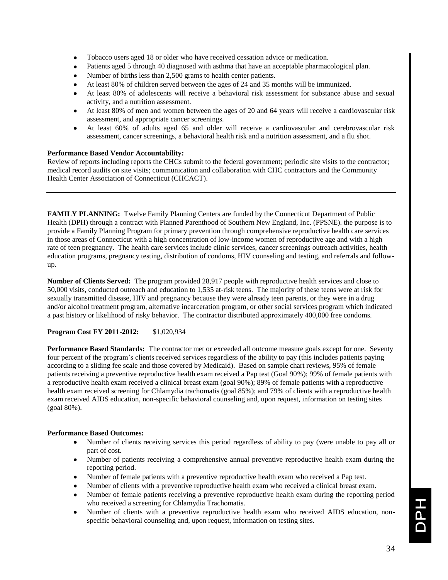- Tobacco users aged 18 or older who have received cessation advice or medication.
- Patients aged 5 through 40 diagnosed with asthma that have an acceptable pharmacological plan.
- Number of births less than 2,500 grams to health center patients.
- At least 80% of children served between the ages of 24 and 35 months will be immunized.
- At least 80% of adolescents will receive a behavioral risk assessment for substance abuse and sexual activity, and a nutrition assessment.
- At least 80% of men and women between the ages of 20 and 64 years will receive a cardiovascular risk assessment, and appropriate cancer screenings.
- At least 60% of adults aged 65 and older will receive a cardiovascular and cerebrovascular risk assessment, cancer screenings, a behavioral health risk and a nutrition assessment, and a flu shot.

#### **Performance Based Vendor Accountability:**

Review of reports including reports the CHCs submit to the federal government; periodic site visits to the contractor; medical record audits on site visits; communication and collaboration with CHC contractors and the Community Health Center Association of Connecticut (CHCACT).

**FAMILY PLANNING:** Twelve Family Planning Centers are funded by the Connecticut Department of Public Health (DPH) through a contract with Planned Parenthood of Southern New England, Inc. (PPSNE). the purpose is to provide a Family Planning Program for primary prevention through comprehensive reproductive health care services in those areas of Connecticut with a high concentration of low-income women of reproductive age and with a high rate of teen pregnancy. The health care services include clinic services, cancer screenings outreach activities, health education programs, pregnancy testing, distribution of condoms, HIV counseling and testing, and referrals and followup.

**Number of Clients Served:** The program provided 28,917 people with reproductive health services and close to 50,000 visits, conducted outreach and education to 1,535 at-risk teens. The majority of these teens were at risk for sexually transmitted disease, HIV and pregnancy because they were already teen parents, or they were in a drug and/or alcohol treatment program, alternative incarceration program, or other social services program which indicated a past history or likelihood of risky behavior. The contractor distributed approximately 400,000 free condoms.

#### **Program Cost FY 2011-2012:** \$1,020,934

**Performance Based Standards:** The contractor met or exceeded all outcome measure goals except for one. Seventy four percent of the program's clients received services regardless of the ability to pay (this includes patients paying according to a sliding fee scale and those covered by Medicaid). Based on sample chart reviews, 95% of female patients receiving a preventive reproductive health exam received a Pap test (Goal 90%); 99% of female patients with a reproductive health exam received a clinical breast exam (goal 90%); 89% of female patients with a reproductive health exam received screening for Chlamydia trachomatis (goal 85%); and 79% of clients with a reproductive health exam received AIDS education, non-specific behavioral counseling and, upon request, information on testing sites (goal 80%).

#### **Performance Based Outcomes:**

- Number of clients receiving services this period regardless of ability to pay (were unable to pay all or part of cost.
- Number of patients receiving a comprehensive annual preventive reproductive health exam during the reporting period.
- Number of female patients with a preventive reproductive health exam who received a Pap test.
- Number of clients with a preventive reproductive health exam who received a clinical breast exam.
- Number of female patients receiving a preventive reproductive health exam during the reporting period who received a screening for Chlamydia Trachomatis.
- Number of clients with a preventive reproductive health exam who received AIDS education, nonspecific behavioral counseling and, upon request, information on testing sites.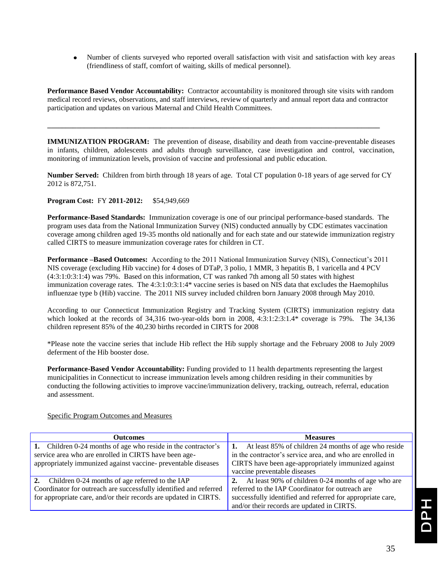$\bullet$ Number of clients surveyed who reported overall satisfaction with visit and satisfaction with key areas (friendliness of staff, comfort of waiting, skills of medical personnel).

**Performance Based Vendor Accountability:** Contractor accountability is monitored through site visits with random medical record reviews, observations, and staff interviews, review of quarterly and annual report data and contractor participation and updates on various Maternal and Child Health Committees.

**\_\_\_\_\_\_\_\_\_\_\_\_\_\_\_\_\_\_\_\_\_\_\_\_\_\_\_\_\_\_\_\_\_\_\_\_\_\_\_\_\_\_\_\_\_\_\_\_\_\_\_\_\_\_\_\_\_\_\_\_\_\_\_\_\_\_\_\_\_\_\_\_\_\_\_\_\_\_\_\_\_\_\_\_\_\_\_\_\_\_\_**

**IMMUNIZATION PROGRAM:** The prevention of disease, disability and death from vaccine-preventable diseases in infants, children, adolescents and adults through surveillance, case investigation and control, vaccination, monitoring of immunization levels, provision of vaccine and professional and public education.

**Number Served:** Children from birth through 18 years of age. Total CT population 0-18 years of age served for CY 2012 is 872,751.

#### **Program Cost:** FY **2011-2012:** \$54,949,669

**Performance-Based Standards:** Immunization coverage is one of our principal performance-based standards. The program uses data from the National Immunization Survey (NIS) conducted annually by CDC estimates vaccination coverage among children aged 19-35 months old nationally and for each state and our statewide immunization registry called CIRTS to measure immunization coverage rates for children in CT.

**Performance –Based Outcomes:** According to the 2011 National Immunization Survey (NIS), Connecticut's 2011 NIS coverage (excluding Hib vaccine) for 4 doses of DTaP, 3 polio, 1 MMR, 3 hepatitis B, 1 varicella and 4 PCV (4:3:1:0:3:1:4) was 79%. Based on this information, CT was ranked 7th among all 50 states with highest immunization coverage rates. The 4:3:1:0:3:1:4\* vaccine series is based on NIS data that excludes the Haemophilus influenzae type b (Hib) vaccine. The 2011 NIS survey included children born January 2008 through May 2010.

According to our Connecticut Immunization Registry and Tracking System (CIRTS) immunization registry data which looked at the records of 34,316 two-year-olds born in 2008, 4:3:1:2:3:1.4\* coverage is 79%. The 34,136 children represent 85% of the 40,230 births recorded in CIRTS for 2008

\*Please note the vaccine series that include Hib reflect the Hib supply shortage and the February 2008 to July 2009 deferment of the Hib booster dose.

**Performance-Based Vendor Accountability:** Funding provided to 11 health departments representing the largest municipalities in Connecticut to increase immunization levels among children residing in their communities by conducting the following activities to improve vaccine/immunization delivery, tracking, outreach, referral, education and assessment.

| <b>Outcomes</b>                                                   | <b>Measures</b>                                            |
|-------------------------------------------------------------------|------------------------------------------------------------|
| 1. Children 0-24 months of age who reside in the contractor's     | At least 85% of children 24 months of age who reside       |
| service area who are enrolled in CIRTS have been age-             | in the contractor's service area, and who are enrolled in  |
| appropriately immunized against vaccine- preventable diseases     | CIRTS have been age-appropriately immunized against        |
|                                                                   | vaccine preventable diseases                               |
| 2. Children 0-24 months of age referred to the IAP                | At least 90% of children 0-24 months of age who are<br>2.  |
| Coordinator for outreach are successfully identified and referred | referred to the IAP Coordinator for outreach are           |
| for appropriate care, and/or their records are updated in CIRTS.  | successfully identified and referred for appropriate care, |
|                                                                   | and/or their records are updated in CIRTS.                 |

Specific Program Outcomes and Measures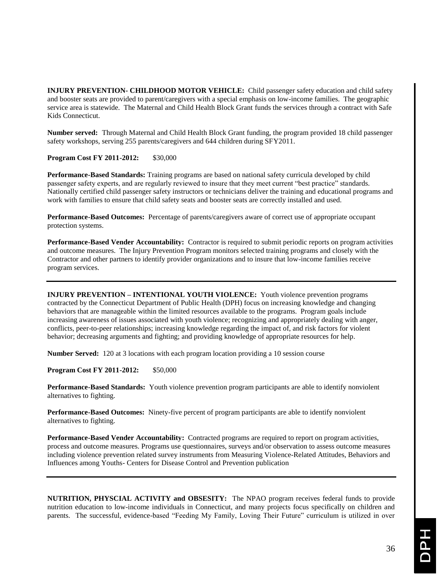**INJURY PREVENTION- CHILDHOOD MOTOR VEHICLE:** Child passenger safety education and child safety and booster seats are provided to parent/caregivers with a special emphasis on low-income families. The geographic service area is statewide. The Maternal and Child Health Block Grant funds the services through a contract with Safe Kids Connecticut.

**Number served:**Through Maternal and Child Health Block Grant funding, the program provided 18 child passenger safety workshops, serving 255 parents/caregivers and 644 children during SFY2011.

**Program Cost FY 2011-2012:** \$30,000

**Performance-Based Standards:** Training programs are based on national safety curricula developed by child passenger safety experts, and are regularly reviewed to insure that they meet current "best practice" standards. Nationally certified child passenger safety instructors or technicians deliver the training and educational programs and work with families to ensure that child safety seats and booster seats are correctly installed and used.

**Performance-Based Outcomes:** Percentage of parents/caregivers aware of correct use of appropriate occupant protection systems.

**Performance-Based Vender Accountability:** Contractor is required to submit periodic reports on program activities and outcome measures. The Injury Prevention Program monitors selected training programs and closely with the Contractor and other partners to identify provider organizations and to insure that low-income families receive program services.

**INJURY PREVENTION – INTENTIONAL YOUTH VIOLENCE:** Youth violence prevention programs contracted by the Connecticut Department of Public Health (DPH) focus on increasing knowledge and changing behaviors that are manageable within the limited resources available to the programs. Program goals include increasing awareness of issues associated with youth violence; recognizing and appropriately dealing with anger, conflicts, peer-to-peer relationships; increasing knowledge regarding the impact of, and risk factors for violent behavior; decreasing arguments and fighting; and providing knowledge of appropriate resources for help.

**Number Served:** 120 at 3 locations with each program location providing a 10 session course

**Program Cost FY 2011-2012:** \$50,000

**Performance-Based Standards:** Youth violence prevention program participants are able to identify nonviolent alternatives to fighting.

**Performance-Based Outcomes:** Ninety-five percent of program participants are able to identify nonviolent alternatives to fighting.

**Performance-Based Vender Accountability:**Contracted programs are required to report on program activities, process and outcome measures. Programs use questionnaires, surveys and/or observation to assess outcome measures including violence prevention related survey instruments from Measuring Violence-Related Attitudes, Behaviors and Influences among Youths- Centers for Disease Control and Prevention publication

**NUTRITION, PHYSCIAL ACTIVITY and OBSESITY:** The NPAO program receives federal funds to provide nutrition education to low-income individuals in Connecticut, and many projects focus specifically on children and parents. The successful, evidence-based "Feeding My Family, Loving Their Future" curriculum is utilized in over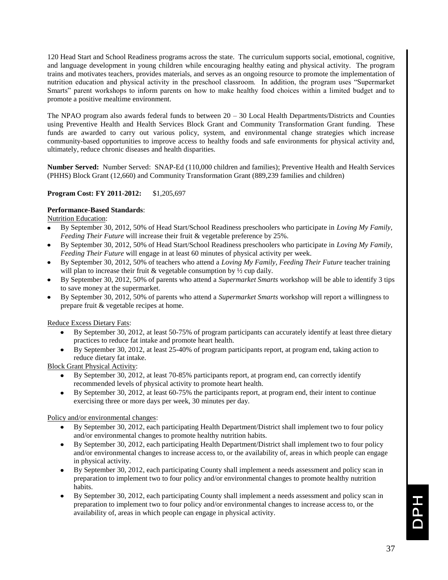120 Head Start and School Readiness programs across the state. The curriculum supports social, emotional, cognitive, and language development in young children while encouraging healthy eating and physical activity. The program trains and motivates teachers, provides materials, and serves as an ongoing resource to promote the implementation of nutrition education and physical activity in the preschool classroom. In addition, the program uses "Supermarket Smarts" parent workshops to inform parents on how to make healthy food choices within a limited budget and to promote a positive mealtime environment.

The NPAO program also awards federal funds to between 20 – 30 Local Health Departments/Districts and Counties using Preventive Health and Health Services Block Grant and Community Transformation Grant funding. These funds are awarded to carry out various policy, system, and environmental change strategies which increase community-based opportunities to improve access to healthy foods and safe environments for physical activity and, ultimately, reduce chronic diseases and health disparities.

**Number Served:** Number Served: SNAP-Ed (110,000 children and families); Preventive Health and Health Services (PHHS) Block Grant (12,660) and Community Transformation Grant (889,239 families and children)

#### **Program Cost: FY 2011-2012:** \$1,205,697

#### **Performance-Based Standards**:

Nutrition Education:

- By September 30, 2012, 50% of Head Start/School Readiness preschoolers who participate in *Loving My Family, Feeding Their Future* will increase their fruit & vegetable preference by 25%.
- By September 30, 2012, 50% of Head Start/School Readiness preschoolers who participate in *Loving My Family, Feeding Their Future* will engage in at least 60 minutes of physical activity per week.
- By September 30, 2012, 50% of teachers who attend a *Loving My Family, Feeding Their Future* teacher training will plan to increase their fruit & vegetable consumption by  $\frac{1}{2}$  cup daily.
- By September 30, 2012, 50% of parents who attend a *Supermarket Smarts* workshop will be able to identify 3 tips to save money at the supermarket.
- By September 30, 2012, 50% of parents who attend a *Supermarket Smarts* workshop will report a willingness to prepare fruit & vegetable recipes at home.

Reduce Excess Dietary Fats:

- By September 30, 2012, at least 50-75% of program participants can accurately identify at least three dietary practices to reduce fat intake and promote heart health.
- By September 30, 2012, at least 25-40% of program participants report, at program end, taking action to reduce dietary fat intake.

Block Grant Physical Activity:

- By September 30, 2012, at least 70-85% participants report, at program end, can correctly identify recommended levels of physical activity to promote heart health.
- By September 30, 2012, at least 60-75% the participants report, at program end, their intent to continue exercising three or more days per week, 30 minutes per day.

Policy and/or environmental changes:

- By September 30, 2012, each participating Health Department/District shall implement two to four policy and/or environmental changes to promote healthy nutrition habits.
- $\bullet$ By September 30, 2012, each participating Health Department/District shall implement two to four policy and/or environmental changes to increase access to, or the availability of, areas in which people can engage in physical activity.
- By September 30, 2012, each participating County shall implement a needs assessment and policy scan in preparation to implement two to four policy and/or environmental changes to promote healthy nutrition habits.
- By September 30, 2012, each participating County shall implement a needs assessment and policy scan in preparation to implement two to four policy and/or environmental changes to increase access to, or the availability of, areas in which people can engage in physical activity.

**HdO**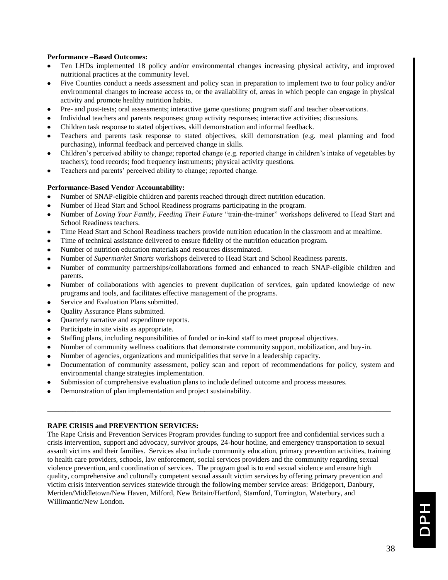#### **Performance –Based Outcomes:**

- $\bullet$ Ten LHDs implemented 18 policy and/or environmental changes increasing physical activity, and improved nutritional practices at the community level.
- Five Counties conduct a needs assessment and policy scan in preparation to implement two to four policy and/or environmental changes to increase access to, or the availability of, areas in which people can engage in physical activity and promote healthy nutrition habits.
- Pre- and post-tests; oral assessments; interactive game questions; program staff and teacher observations.
- Individual teachers and parents responses; group activity responses; interactive activities; discussions.
- Children task response to stated objectives, skill demonstration and informal feedback.
- Teachers and parents task response to stated objectives, skill demonstration (e.g. meal planning and food purchasing), informal feedback and perceived change in skills.
- Children's perceived ability to change; reported change (e.g. reported change in children's intake of vegetables by teachers); food records; food frequency instruments; physical activity questions.
- Teachers and parents' perceived ability to change; reported change.

#### **Performance-Based Vendor Accountability:**

- Number of SNAP-eligible children and parents reached through direct nutrition education.
- Number of Head Start and School Readiness programs participating in the program.
- Number of *Loving Your Family, Feeding Their Future* "train-the-trainer" workshops delivered to Head Start and School Readiness teachers.
- Time Head Start and School Readiness teachers provide nutrition education in the classroom and at mealtime.
- Time of technical assistance delivered to ensure fidelity of the nutrition education program.
- Number of nutrition education materials and resources disseminated.
- Number of *Supermarket Smarts* workshops delivered to Head Start and School Readiness parents.
- Number of community partnerships/collaborations formed and enhanced to reach SNAP-eligible children and  $\bullet$ parents.
- $\bullet$ Number of collaborations with agencies to prevent duplication of services, gain updated knowledge of new programs and tools, and facilitates effective management of the programs.
- Service and Evaluation Plans submitted.
- Quality Assurance Plans submitted.
- Quarterly narrative and expenditure reports.  $\bullet$
- Participate in site visits as appropriate.  $\bullet$
- Staffing plans, including responsibilities of funded or in-kind staff to meet proposal objectives.
- Number of community wellness coalitions that demonstrate community support, mobilization, and buy-in.  $\bullet$
- Number of agencies, organizations and municipalities that serve in a leadership capacity.
- Documentation of community assessment, policy scan and report of recommendations for policy, system and environmental change strategies implementation.

**\_\_\_\_\_\_\_\_\_\_\_\_\_\_\_\_\_\_\_\_\_\_\_\_\_\_\_\_\_\_\_\_\_\_\_\_\_\_\_\_\_\_\_\_\_\_\_\_\_\_\_\_\_\_\_\_\_\_\_\_\_\_\_\_\_\_\_\_\_\_\_\_\_\_\_\_\_\_\_\_\_\_\_\_\_\_\_\_\_\_\_\_\_\_**

- Submission of comprehensive evaluation plans to include defined outcome and process measures.
- Demonstration of plan implementation and project sustainability.

#### **RAPE CRISIS and PREVENTION SERVICES:**

The Rape Crisis and Prevention Services Program provides funding to support free and confidential services such a crisis intervention, support and advocacy, survivor groups, 24-hour hotline, and emergency transportation to sexual assault victims and their families. Services also include community education, primary prevention activities, training to health care providers, schools, law enforcement, social services providers and the community regarding sexual violence prevention, and coordination of services. The program goal is to end sexual violence and ensure high quality, comprehensive and culturally competent sexual assault victim services by offering primary prevention and victim crisis intervention services statewide through the following member service areas: Bridgeport, Danbury, Meriden/Middletown/New Haven, Milford, New Britain/Hartford, Stamford, Torrington, Waterbury, and Willimantic/New London.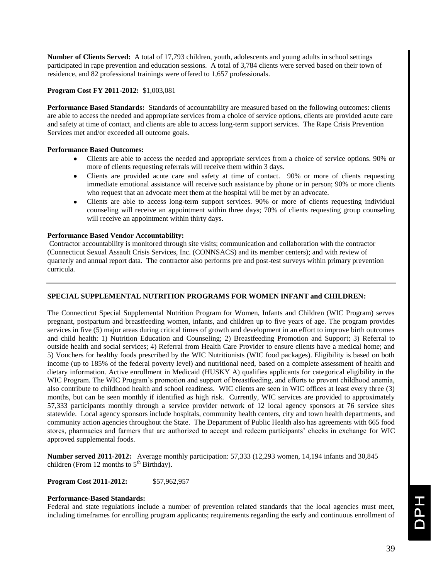**Number of Clients Served:** A total of 17,793 children, youth, adolescents and young adults in school settings participated in rape prevention and education sessions. A total of 3,784 clients were served based on their town of residence, and 82 professional trainings were offered to 1,657 professionals.

#### **Program Cost FY 2011-2012:** \$1,003,081

**Performance Based Standards:** Standards of accountability are measured based on the following outcomes: clients are able to access the needed and appropriate services from a choice of service options, clients are provided acute care and safety at time of contact, and clients are able to access long-term support services. The Rape Crisis Prevention Services met and/or exceeded all outcome goals.

#### **Performance Based Outcomes:**

- Clients are able to access the needed and appropriate services from a choice of service options. 90% or more of clients requesting referrals will receive them within 3 days.
- Clients are provided acute care and safety at time of contact. 90% or more of clients requesting immediate emotional assistance will receive such assistance by phone or in person; 90% or more clients who request that an advocate meet them at the hospital will be met by an advocate.
- Clients are able to access long-term support services. 90% or more of clients requesting individual counseling will receive an appointment within three days; 70% of clients requesting group counseling will receive an appointment within thirty days.

#### **Performance Based Vendor Accountability:**

Contractor accountability is monitored through site visits; communication and collaboration with the contractor (Connecticut Sexual Assault Crisis Services, Inc. (CONNSACS) and its member centers); and with review of quarterly and annual report data. The contractor also performs pre and post-test surveys within primary prevention curricula.

#### **SPECIAL SUPPLEMENTAL NUTRITION PROGRAMS FOR WOMEN INFANT and CHILDREN:**

The Connecticut Special Supplemental Nutrition Program for Women, Infants and Children (WIC Program) serves pregnant, postpartum and breastfeeding women, infants, and children up to five years of age. The program provides services in five (5) major areas during critical times of growth and development in an effort to improve birth outcomes and child health: 1) Nutrition Education and Counseling; 2) Breastfeeding Promotion and Support; 3) Referral to outside health and social services; 4) Referral from Health Care Provider to ensure clients have a medical home; and 5) Vouchers for healthy foods prescribed by the WIC Nutritionists (WIC food packages). Eligibility is based on both income (up to 185% of the federal poverty level) and nutritional need, based on a complete assessment of health and dietary information. Active enrollment in Medicaid (HUSKY A) qualifies applicants for categorical eligibility in the WIC Program. The WIC Program's promotion and support of breastfeeding, and efforts to prevent childhood anemia, also contribute to childhood health and school readiness. WIC clients are seen in WIC offices at least every three (3) months, but can be seen monthly if identified as high risk. Currently, WIC services are provided to approximately 57,333 participants monthly through a service provider network of 12 local agency sponsors at 76 service sites statewide. Local agency sponsors include hospitals, community health centers, city and town health departments, and community action agencies throughout the State. The Department of Public Health also has agreements with 665 food stores, pharmacies and farmers that are authorized to accept and redeem participants' checks in exchange for WIC approved supplemental foods.

**Number served 2011-2012:** Average monthly participation: 57,333 (12,293 women, 14,194 infants and 30,845 children (From 12 months to  $5<sup>th</sup>$  Birthday).

**Program Cost 2011-2012:** \$57,962,957

#### **Performance-Based Standards:**

Federal and state regulations include a number of prevention related standards that the local agencies must meet, including timeframes for enrolling program applicants; requirements regarding the early and continuous enrollment of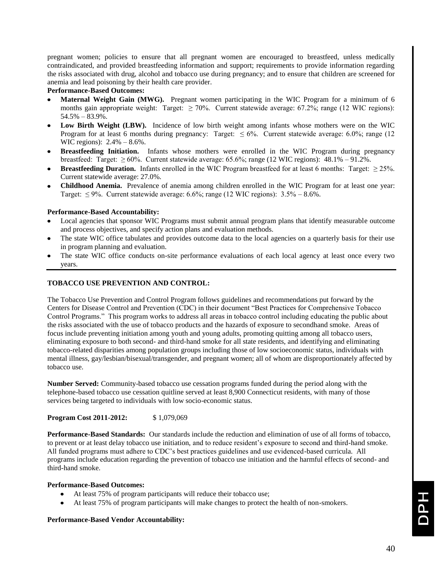pregnant women; policies to ensure that all pregnant women are encouraged to breastfeed, unless medically contraindicated, and provided breastfeeding information and support; requirements to provide information regarding the risks associated with drug, alcohol and tobacco use during pregnancy; and to ensure that children are screened for anemia and lead poisoning by their health care provider.

#### **Performance-Based Outcomes:**

- **Maternal Weight Gain (MWG).** Pregnant women participating in the WIC Program for a minimum of 6 months gain appropriate weight: Target:  $\geq 70\%$ . Current statewide average: 67.2%; range (12 WIC regions):  $54.5\% - 83.9\%$ .
- Low Birth Weight (LBW). Incidence of low birth weight among infants whose mothers were on the WIC Program for at least 6 months during pregnancy: Target:  $\leq 6\%$ . Current statewide average: 6.0%; range (12) WIC regions): 2.4% – 8.6%.
- **Breastfeeding Initiation.** Infants whose mothers were enrolled in the WIC Program during pregnancy breastfeed: Target:  $\geq 60\%$ . Current statewide average: 65.6%; range (12 WIC regions): 48.1% – 91.2%.
- **Breastfeeding Duration.** Infants enrolled in the WIC Program breastfeed for at least 6 months: Target:  $\geq 25\%$ . Current statewide average: 27.0%.
- **Childhood Anemia.** Prevalence of anemia among children enrolled in the WIC Program for at least one year: Target:  $\leq$  9%. Current statewide average: 6.6%; range (12 WIC regions): 3.5% – 8.6%.

#### **Performance-Based Accountability:**

- Local agencies that sponsor WIC Programs must submit annual program plans that identify measurable outcome and process objectives, and specify action plans and evaluation methods.
- The state WIC office tabulates and provides outcome data to the local agencies on a quarterly basis for their use in program planning and evaluation.
- The state WIC office conducts on-site performance evaluations of each local agency at least once every two years.

#### **TOBACCO USE PREVENTION AND CONTROL:**

The Tobacco Use Prevention and Control Program follows guidelines and recommendations put forward by the Centers for Disease Control and Prevention (CDC) in their document "Best Practices for Comprehensive Tobacco Control Programs." This program works to address all areas in tobacco control including educating the public about the risks associated with the use of tobacco products and the hazards of exposure to secondhand smoke. Areas of focus include preventing initiation among youth and young adults, promoting quitting among all tobacco users, eliminating exposure to both second- and third-hand smoke for all state residents, and identifying and eliminating tobacco-related disparities among population groups including those of low socioeconomic status, individuals with mental illness, gay/lesbian/bisexual/transgender, and pregnant women; all of whom are disproportionately affected by tobacco use.

**Number Served:** Community-based tobacco use cessation programs funded during the period along with the telephone-based tobacco use cessation quitline served at least 8,900 Connecticut residents, with many of those services being targeted to individuals with low socio-economic status.

#### **Program Cost 2011-2012:** \$1,079,069

**Performance-Based Standards:** Our standards include the reduction and elimination of use of all forms of tobacco, to prevent or at least delay tobacco use initiation, and to reduce resident's exposure to second and third-hand smoke. All funded programs must adhere to CDC's best practices guidelines and use evidenced-based curricula. All programs include education regarding the prevention of tobacco use initiation and the harmful effects of second- and third-hand smoke.

#### **Performance-Based Outcomes:**

- At least 75% of program participants will reduce their tobacco use;
- At least 75% of program participants will make changes to protect the health of non-smokers.

#### **Performance-Based Vendor Accountability:**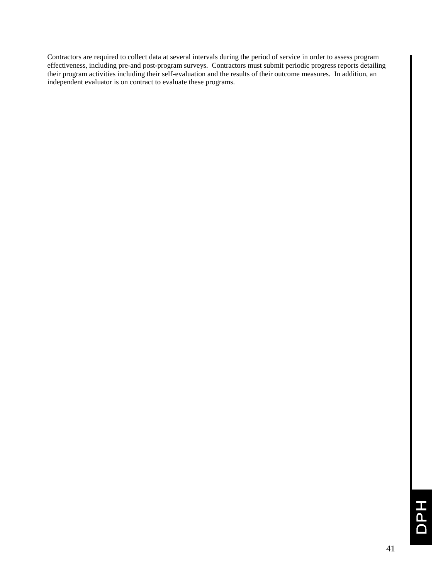Contractors are required to collect data at several intervals during the period of service in order to assess program effectiveness, including pre-and post-program surveys. Contractors must submit periodic progress reports detailing their program activities including their self-evaluation and the results of their outcome measures. In addition, an independent evaluator is on contract to evaluate these programs.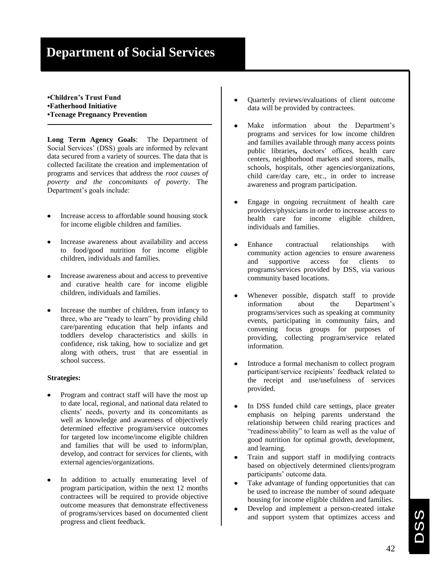# **Department of Social Services**

#### **•Children's Trust Fund •Fatherhood Initiative •Teenage Pregnancy Prevention**

**Long Term Agency Goals**: The Department of Social Services' (DSS) goals are informed by relevant data secured from a variety of sources. The data that is collected facilitate the creation and implementation of programs and services that address the *root causes of poverty and the concomitants of poverty*. The Department's goals include:

- Increase access to affordable sound housing stock for income eligible children and families.
- Increase awareness about availability and access to food/good nutrition for income eligible children, individuals and families.
- Increase awareness about and access to preventive and curative health care for income eligible children, individuals and families.
- Increase the number of children, from infancy to three, who are "ready to learn" by providing child care/parenting education that help infants and toddlers develop characteristics and skills in confidence, risk taking, how to socialize and get along with others, trust that are essential in school success.

#### **Strategies:**

- Program and contract staff will have the most up to date local, regional, and national data related to clients' needs, poverty and its concomitants as well as knowledge and awareness of objectively determined effective program/service outcomes for targeted low income/income eligible children and families that will be used to inform/plan, develop, and contract for services for clients, with external agencies/organizations.
- In addition to actually enumerating level of program participation, within the next 12 months contractees will be required to provide objective outcome measures that demonstrate effectiveness of programs/services based on documented client progress and client feedback.
- $\bullet$ Quarterly reviews/evaluations of client outcome data will be provided by contractees.
- Make information about the Department's programs and services for low income children and families available through many access points public libraries**,** doctors' offices, health care centers, neighborhood markets and stores, malls, schools, hospitals, other agencies/organizations, child care/day care, etc., in order to increase awareness and program participation.
- Engage in ongoing recruitment of health care providers/physicians in order to increase access to health care for income eligible children, individuals and families.
- Enhance contractual relationships with community action agencies to ensure awareness and supportive access for clients to programs/services provided by DSS, via various community based locations.
- Whenever possible, dispatch staff to provide information about the Department's programs/services such as speaking at community events, participating in community fairs, and convening focus groups for purposes of providing, collecting program/service related information.
- Introduce a formal mechanism to collect program  $\bullet$ participant/service recipients' feedback related to the receipt and use/usefulness of services provided.
- In DSS funded child care settings, place greater  $\bullet$ emphasis on helping parents understand the relationship between child rearing practices and "readiness/ability" to learn as well as the value of good nutrition for optimal growth, development, and learning.
- Train and support staff in modifying contracts based on objectively determined clients/program participants' outcome data.
- Take advantage of funding opportunities that can be used to increase the number of sound adequate housing for income eligible children and families.
- Develop and implement a person-created intake and support system that optimizes access and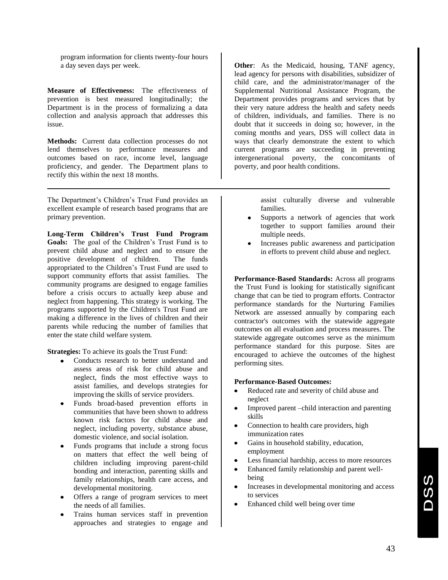program information for clients twenty-four hours a day seven days per week.

**Measure of Effectiveness:** The effectiveness of prevention is best measured longitudinally; the Department is in the process of formalizing a data collection and analysis approach that addresses this issue.

**Methods:** Current data collection processes do not lend themselves to performance measures and outcomes based on race, income level, language proficiency, and gender. The Department plans to rectify this within the next 18 months.

The Department's Children's Trust Fund provides an excellent example of research based programs that are primary prevention.

**Long-Term Children's Trust Fund Program Goals:** The goal of the Children's Trust Fund is to prevent child abuse and neglect and to ensure the positive development of children. The funds appropriated to the Children's Trust Fund are used to support community efforts that assist families. The community programs are designed to engage families before a crisis occurs to actually keep abuse and neglect from happening. This strategy is working. The programs supported by the Children's Trust Fund are making a difference in the lives of children and their parents while reducing the number of families that enter the state child welfare system.

**Strategies:** To achieve its goals the Trust Fund:

- Conducts research to better understand and  $\bullet$ assess areas of risk for child abuse and neglect, finds the most effective ways to assist families, and develops strategies for improving the skills of service providers.
- Funds broad-based prevention efforts in communities that have been shown to address known risk factors for child abuse and neglect, including poverty, substance abuse, domestic violence, and social isolation.
- Funds programs that include a strong focus on matters that effect the well being of children including improving parent-child bonding and interaction, parenting skills and family relationships, health care access, and developmental monitoring.
- Offers a range of program services to meet the needs of all families.
- Trains human services staff in prevention approaches and strategies to engage and

**Other**: As the Medicaid, housing, TANF agency, lead agency for persons with disabilities, subsidizer of child care, and the administrator/manager of the Supplemental Nutritional Assistance Program, the Department provides programs and services that by their very nature address the health and safety needs of children, individuals, and families. There is no doubt that it succeeds in doing so; however, in the coming months and years, DSS will collect data in ways that clearly demonstrate the extent to which current programs are succeeding in preventing intergenerational poverty, the concomitants of poverty, and poor health conditions.

> assist culturally diverse and vulnerable families.

- Supports a network of agencies that work  $\bullet$ together to support families around their multiple needs.
- Increases public awareness and participation  $\bullet$ in efforts to prevent child abuse and neglect.

**Performance-Based Standards:** Across all programs the Trust Fund is looking for statistically significant change that can be tied to program efforts. Contractor performance standards for the Nurturing Families Network are assessed annually by comparing each contractor's outcomes with the statewide aggregate outcomes on all evaluation and process measures. The statewide aggregate outcomes serve as the minimum performance standard for this purpose. Sites are encouraged to achieve the outcomes of the highest performing sites.

#### **Performance-Based Outcomes:**

- Reduced rate and severity of child abuse and neglect
- Improved parent –child interaction and parenting skills
- Connection to health care providers, high immunization rates
- Gains in household stability, education, employment
- Less financial hardship, access to more resources
- Enhanced family relationship and parent wellbeing
- Increases in developmental monitoring and access  $\bullet$ to services
- Enhanced child well being over time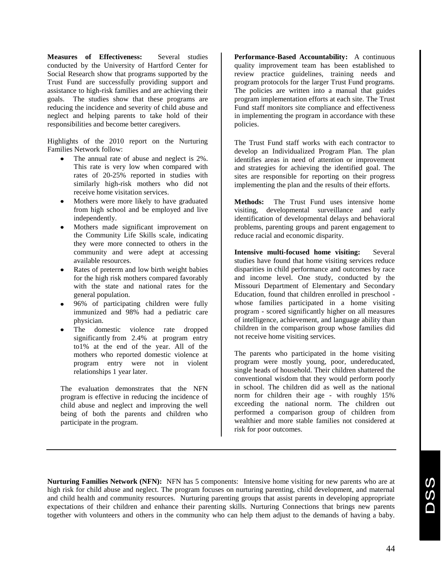**Measures of Effectiveness:** Several studies conducted by the University of Hartford Center for Social Research show that programs supported by the Trust Fund are successfully providing support and assistance to high-risk families and are achieving their goals. The studies show that these programs are reducing the incidence and severity of child abuse and neglect and helping parents to take hold of their responsibilities and become better caregivers.

Highlights of the 2010 report on the Nurturing Families Network follow:

- The annual rate of abuse and neglect is 2%. This rate is very low when compared with rates of 20-25% reported in studies with similarly high-risk mothers who did not receive home visitation services.
- Mothers were more likely to have graduated from high school and be employed and live independently.
- Mothers made significant improvement on the Community Life Skills scale, indicating they were more connected to others in the community and were adept at accessing available resources.
- Rates of preterm and low birth weight babies for the high risk mothers compared favorably with the state and national rates for the general population.
- 96% of participating children were fully immunized and 98% had a pediatric care physician.
- The domestic violence rate dropped significantly from 2.4% at program entry to1% at the end of the year. All of the mothers who reported domestic violence at program entry were not in violent relationships 1 year later.

The evaluation demonstrates that the NFN program is effective in reducing the incidence of child abuse and neglect and improving the well being of both the parents and children who participate in the program.

**Performance-Based Accountability:** A continuous quality improvement team has been established to review practice guidelines, training needs and program protocols for the larger Trust Fund programs. The policies are written into a manual that guides program implementation efforts at each site. The Trust Fund staff monitors site compliance and effectiveness in implementing the program in accordance with these policies.

The Trust Fund staff works with each contractor to develop an Individualized Program Plan. The plan identifies areas in need of attention or improvement and strategies for achieving the identified goal. The sites are responsible for reporting on their progress implementing the plan and the results of their efforts.

**Methods:** The Trust Fund uses intensive home visiting, developmental surveillance and early identification of developmental delays and behavioral problems, parenting groups and parent engagement to reduce racial and economic disparity.

**Intensive multi-focused home visiting:** Several studies have found that home visiting services reduce disparities in child performance and outcomes by race and income level. One study, conducted by the Missouri Department of Elementary and Secondary Education, found that children enrolled in preschool whose families participated in a home visiting program - scored significantly higher on all measures of intelligence, achievement, and language ability than children in the comparison group whose families did not receive home visiting services.

The parents who participated in the home visiting program were mostly young, poor, undereducated, single heads of household. Their children shattered the conventional wisdom that they would perform poorly in school. The children did as well as the national norm for children their age - with roughly 15% exceeding the national norm. The children out performed a comparison group of children from wealthier and more stable families not considered at risk for poor outcomes.

**Nurturing Families Network (NFN):** NFN has 5 components: Intensive home visiting for new parents who are at high risk for child abuse and neglect. The program focuses on nurturing parenting, child development, and maternal and child health and community resources. Nurturing parenting groups that assist parents in developing appropriate expectations of their children and enhance their parenting skills. Nurturing Connections that brings new parents together with volunteers and others in the community who can help them adjust to the demands of having a baby.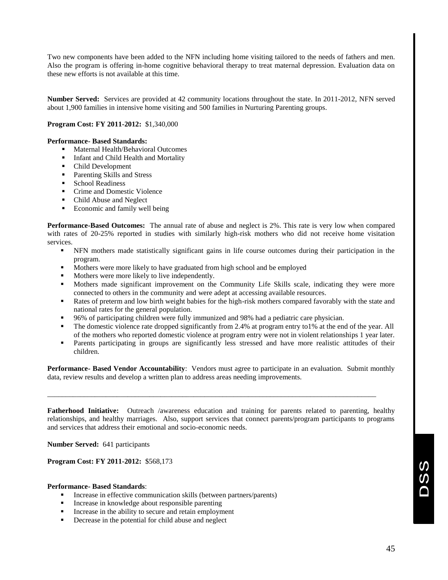Two new components have been added to the NFN including home visiting tailored to the needs of fathers and men. Also the program is offering in-home cognitive behavioral therapy to treat maternal depression. Evaluation data on these new efforts is not available at this time.

**Number Served:** Services are provided at 42 community locations throughout the state. In 2011-2012, NFN served about 1,900 families in intensive home visiting and 500 families in Nurturing Parenting groups.

#### **Program Cost: FY 2011-2012:** \$1,340,000

#### **Performance- Based Standards:**

- Maternal Health/Behavioral Outcomes
- Infant and Child Health and Mortality
- Child Development
- Parenting Skills and Stress
- **School Readiness**
- Crime and Domestic Violence
- Child Abuse and Neglect
- Economic and family well being

**Performance-Based Outcomes:** The annual rate of abuse and neglect is 2%. This rate is very low when compared with rates of 20-25% reported in studies with similarly high-risk mothers who did not receive home visitation services.

- NFN mothers made statistically significant gains in life course outcomes during their participation in the program.
- Mothers were more likely to have graduated from high school and be employed
- $\blacksquare$  Mothers were more likely to live independently.
- Mothers made significant improvement on the Community Life Skills scale, indicating they were more connected to others in the community and were adept at accessing available resources.
- Rates of preterm and low birth weight babies for the high-risk mothers compared favorably with the state and national rates for the general population.
- 96% of participating children were fully immunized and 98% had a pediatric care physician.
- The domestic violence rate dropped significantly from 2.4% at program entry to1% at the end of the year. All of the mothers who reported domestic violence at program entry were not in violent relationships 1 year later.
- Parents participating in groups are significantly less stressed and have more realistic attitudes of their children.

**Performance- Based Vendor Accountability**: Vendors must agree to participate in an evaluation. Submit monthly data, review results and develop a written plan to address areas needing improvements.

\_\_\_\_\_\_\_\_\_\_\_\_\_\_\_\_\_\_\_\_\_\_\_\_\_\_\_\_\_\_\_\_\_\_\_\_\_\_\_\_\_\_\_\_\_\_\_\_\_\_\_\_\_\_\_\_\_\_\_\_\_\_\_\_\_\_\_\_\_\_\_\_\_\_\_\_\_\_\_\_\_\_\_\_\_\_\_\_\_\_

**Fatherhood Initiative:** Outreach /awareness education and training for parents related to parenting, healthy relationships, and healthy marriages. Also, support services that connect parents/program participants to programs and services that address their emotional and socio-economic needs.

**Number Served:** 641 participants

**Program Cost: FY 2011-2012:** \$568,173

#### **Performance- Based Standards**:

- Increase in effective communication skills (between partners/parents)
- Increase in knowledge about responsible parenting
- Increase in the ability to secure and retain employment
- Decrease in the potential for child abuse and neglect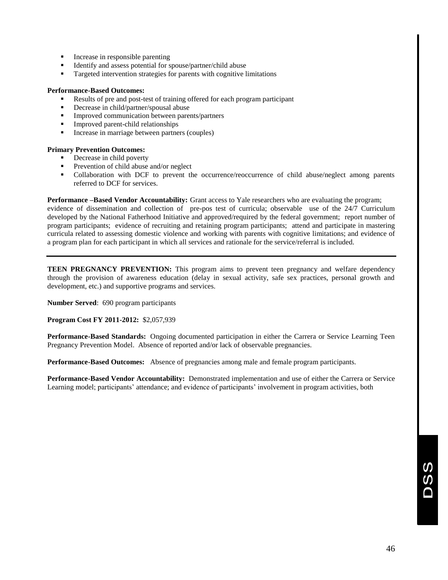- Increase in responsible parenting
- Identify and assess potential for spouse/partner/child abuse
- Targeted intervention strategies for parents with cognitive limitations

#### **Performance-Based Outcomes:**

- Results of pre and post-test of training offered for each program participant
- Decrease in child/partner/spousal abuse
- **IMPROVED COMMUNICATE:** Improved communication between parents/partners
- Improved parent-child relationships
- **Increase in marriage between partners (couples)**

#### **Primary Prevention Outcomes:**

- Decrease in child poverty
- Prevention of child abuse and/or neglect
- Collaboration with DCF to prevent the occurrence/reoccurrence of child abuse/neglect among parents referred to DCF for services.

**Performance –Based Vendor Accountability:** Grant access to Yale researchers who are evaluating the program; evidence of dissemination and collection of pre-pos test of curricula; observable use of the 24/7 Curriculum developed by the National Fatherhood Initiative and approved/required by the federal government; report number of program participants; evidence of recruiting and retaining program participants; attend and participate in mastering curricula related to assessing domestic violence and working with parents with cognitive limitations; and evidence of a program plan for each participant in which all services and rationale for the service/referral is included.

**TEEN PREGNANCY PREVENTION:** This program aims to prevent teen pregnancy and welfare dependency through the provision of awareness education (delay in sexual activity, safe sex practices, personal growth and development, etc.) and supportive programs and services.

**Number Served**: 690 program participants

**Program Cost FY 2011-2012:** \$2,057,939

**Performance-Based Standards:** Ongoing documented participation in either the Carrera or Service Learning Teen Pregnancy Prevention Model. Absence of reported and/or lack of observable pregnancies.

**Performance-Based Outcomes:** Absence of pregnancies among male and female program participants.

**Performance-Based Vendor Accountability:** Demonstrated implementation and use of either the Carrera or Service Learning model; participants' attendance; and evidence of participants' involvement in program activities, both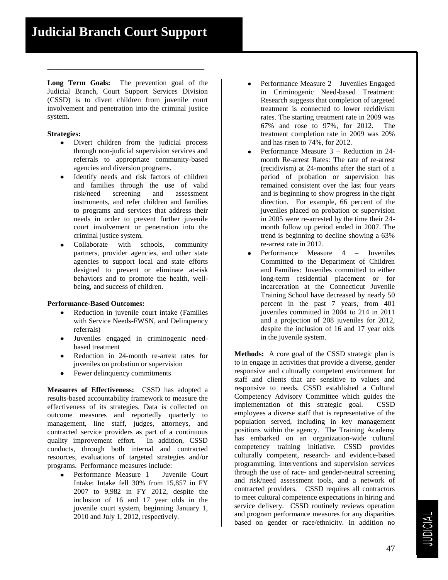**Long Term Goals:** The prevention goal of the Judicial Branch, Court Support Services Division (CSSD) is to divert children from juvenile court involvement and penetration into the criminal justice system.

**\_\_\_\_\_\_\_\_\_\_\_\_\_\_\_\_\_\_\_\_\_\_\_\_\_\_\_\_\_\_\_\_\_\_\_\_\_\_\_**

#### **Strategies:**

- Divert children from the judicial process  $\bullet$ through non-judicial supervision services and referrals to appropriate community-based agencies and diversion programs.
- Identify needs and risk factors of children and families through the use of valid risk/need screening and assessment instruments, and refer children and families to programs and services that address their needs in order to prevent further juvenile court involvement or penetration into the criminal justice system.
- Collaborate with schools, community partners, provider agencies, and other state agencies to support local and state efforts designed to prevent or eliminate at-risk behaviors and to promote the health, wellbeing, and success of children.

#### **Performance-Based Outcomes:**

- Reduction in juvenile court intake (Families with Service Needs-FWSN, and Delinquency referrals)
- Juveniles engaged in criminogenic needbased treatment
- Reduction in 24-month re-arrest rates for juveniles on probation or supervision
- Fewer delinquency commitments

**Measures of Effectiveness:** CSSD has adopted a results-based accountability framework to measure the effectiveness of its strategies. Data is collected on outcome measures and reportedly quarterly to management, line staff, judges, attorneys, and contracted service providers as part of a continuous quality improvement effort. In addition, CSSD conducts, through both internal and contracted resources, evaluations of targeted strategies and/or programs. Performance measures include:

Performance Measure 1 – Juvenile Court Intake: Intake fell 30% from 15,857 in FY 2007 to 9,982 in FY 2012, despite the inclusion of 16 and 17 year olds in the juvenile court system, beginning January 1, 2010 and July 1, 2012, respectively.

- Performance Measure 2 Juveniles Engaged in Criminogenic Need-based Treatment: Research suggests that completion of targeted treatment is connected to lower recidivism rates. The starting treatment rate in 2009 was 67% and rose to 97%, for 2012. The treatment completion rate in 2009 was 20% and has risen to 74%, for 2012.
- Performance Measure 3 Reduction in 24 month Re-arrest Rates: The rate of re-arrest (recidivism) at 24-months after the start of a period of probation or supervision has remained consistent over the last four years and is beginning to show progress in the right direction. For example, 66 percent of the juveniles placed on probation or supervision in 2005 were re-arrested by the time their 24 month follow up period ended in 2007. The trend is beginning to decline showing a 63% re-arrest rate in 2012.
- Performance Measure 4 Juveniles Committed to the Department of Children and Families: Juveniles committed to either long-term residential placement or for incarceration at the Connecticut Juvenile Training School have decreased by nearly 50 percent in the past 7 years, from 401 juveniles committed in 2004 to 214 in 2011 and a projection of 208 juveniles for 2012, despite the inclusion of 16 and 17 year olds in the juvenile system.

**Methods:** A core goal of the CSSD strategic plan is to in engage in activities that provide a diverse, gender responsive and culturally competent environment for staff and clients that are sensitive to values and responsive to needs. CSSD established a Cultural Competency Advisory Committee which guides the implementation of this strategic goal. CSSD employees a diverse staff that is representative of the population served, including in key management positions within the agency. The Training Academy has embarked on an organization-wide cultural competency training initiative. CSSD provides culturally competent, research- and evidence-based programming, interventions and supervision services through the use of race- and gender-neutral screening and risk/need assessment tools, and a network of contracted providers. CSSD requires all contractors to meet cultural competence expectations in hiring and service delivery. CSSD routinely reviews operation and program performance measures for any disparities based on gender or race/ethnicity. In addition no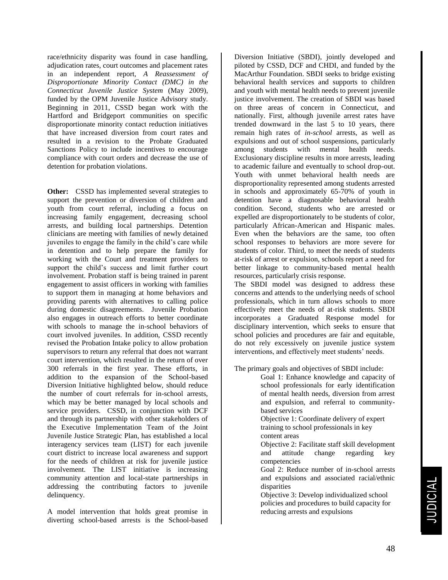race/ethnicity disparity was found in case handling, adjudication rates, court outcomes and placement rates in an independent report, *A Reassessment of Disproportionate Minority Contact (DMC) in the Connecticut Juvenile Justice System* (May 2009), funded by the OPM Juvenile Justice Advisory study. Beginning in 2011, CSSD began work with the Hartford and Bridgeport communities on specific disproportionate minority contact reduction initiatives that have increased diversion from court rates and resulted in a revision to the Probate Graduated Sanctions Policy to include incentives to encourage compliance with court orders and decrease the use of detention for probation violations.

**Other:** CSSD has implemented several strategies to support the prevention or diversion of children and youth from court referral, including a focus on increasing family engagement, decreasing school arrests, and building local partnerships. Detention clinicians are meeting with families of newly detained juveniles to engage the family in the child's care while in detention and to help prepare the family for working with the Court and treatment providers to support the child's success and limit further court involvement. Probation staff is being trained in parent engagement to assist officers in working with families to support them in managing at home behaviors and providing parents with alternatives to calling police during domestic disagreements. Juvenile Probation also engages in outreach efforts to better coordinate with schools to manage the in-school behaviors of court involved juveniles. In addition, CSSD recently revised the Probation Intake policy to allow probation supervisors to return any referral that does not warrant court intervention, which resulted in the return of over 300 referrals in the first year. These efforts, in addition to the expansion of the School-based Diversion Initiative highlighted below, should reduce the number of court referrals for in-school arrests, which may be better managed by local schools and service providers. CSSD, in conjunction with DCF and through its partnership with other stakeholders of the Executive Implementation Team of the Joint Juvenile Justice Strategic Plan, has established a local interagency services team (LIST) for each juvenile court district to increase local awareness and support for the needs of children at risk for juvenile justice involvement. The LIST initiative is increasing community attention and local-state partnerships in addressing the contributing factors to juvenile delinquency.

A model intervention that holds great promise in diverting school-based arrests is the School-based

Diversion Initiative (SBDI), jointly developed and piloted by CSSD, DCF and CHDI, and funded by the MacArthur Foundation. SBDI seeks to bridge existing behavioral health services and supports to children and youth with mental health needs to prevent juvenile justice involvement. The creation of SBDI was based on three areas of concern in Connecticut, and nationally. First, although juvenile arrest rates have trended downward in the last 5 to 10 years, there remain high rates of *in-school* arrests, as well as expulsions and out of school suspensions, particularly among students with mental health needs. Exclusionary discipline results in more arrests, leading to academic failure and eventually to school drop-out. Youth with unmet behavioral health needs are disproportionality represented among students arrested in schools and approximately 65-70% of youth in detention have a diagnosable behavioral health condition. Second, students who are arrested or expelled are disproportionately to be students of color, particularly African-American and Hispanic males. Even when the behaviors are the same, too often school responses to behaviors are more severe for students of color. Third, to meet the needs of students at-risk of arrest or expulsion, schools report a need for better linkage to community-based mental health resources, particularly crisis response.

The SBDI model was designed to address these concerns and attends to the underlying needs of school professionals, which in turn allows schools to more effectively meet the needs of at-risk students. SBDI incorporates a Graduated Response model for disciplinary intervention, which seeks to ensure that school policies and procedures are fair and equitable, do not rely excessively on juvenile justice system interventions, and effectively meet students' needs.

The primary goals and objectives of SBDI include:

Goal 1: Enhance knowledge and capacity of school professionals for early identification of mental health needs, diversion from arrest and expulsion, and referral to communitybased services Objective 1: Coordinate delivery of expert training to school professionals in key

content areas

Objective 2: Facilitate staff skill development and attitude change regarding key competencies

Goal 2: Reduce number of in-school arrests and expulsions and associated racial/ethnic disparities

Objective 3: Develop individualized school policies and procedures to build capacity for reducing arrests and expulsions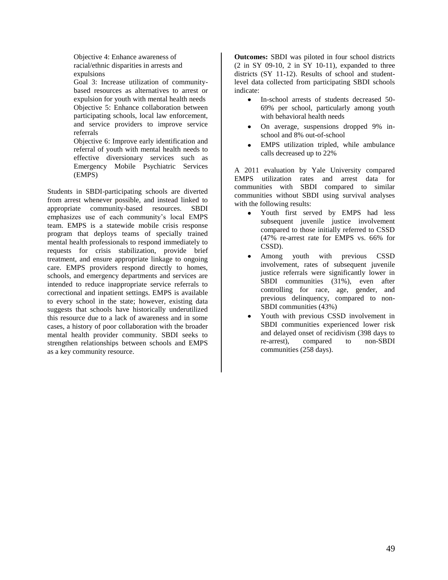Objective 4: Enhance awareness of racial/ethnic disparities in arrests and expulsions

Goal 3: Increase utilization of communitybased resources as alternatives to arrest or expulsion for youth with mental health needs Objective 5: Enhance collaboration between participating schools, local law enforcement, and service providers to improve service referrals

Objective 6: Improve early identification and referral of youth with mental health needs to effective diversionary services such as Emergency Mobile Psychiatric Services (EMPS)

Students in SBDI-participating schools are diverted from arrest whenever possible, and instead linked to appropriate community-based resources. SBDI emphasizes use of each community's local EMPS team. EMPS is a statewide mobile crisis response program that deploys teams of specially trained mental health professionals to respond immediately to requests for crisis stabilization, provide brief treatment, and ensure appropriate linkage to ongoing care. EMPS providers respond directly to homes, schools, and emergency departments and services are intended to reduce inappropriate service referrals to correctional and inpatient settings. EMPS is available to every school in the state; however, existing data suggests that schools have historically underutilized this resource due to a lack of awareness and in some cases, a history of poor collaboration with the broader mental health provider community. SBDI seeks to strengthen relationships between schools and EMPS as a key community resource.

**Outcomes:** SBDI was piloted in four school districts  $(2 \text{ in } SY \ 09-10, 2 \text{ in } SY \ 10-11)$ , expanded to three districts (SY 11-12). Results of school and studentlevel data collected from participating SBDI schools indicate:

- In-school arrests of students decreased 50- 69% per school, particularly among youth with behavioral health needs
- $\bullet$ On average, suspensions dropped 9% inschool and 8% out-of-school
- EMPS utilization tripled, while ambulance calls decreased up to 22%

A 2011 evaluation by Yale University compared EMPS utilization rates and arrest data for communities with SBDI compared to similar communities without SBDI using survival analyses with the following results:

- Youth first served by EMPS had less  $\bullet$ subsequent juvenile justice involvement compared to those initially referred to CSSD (47% re-arrest rate for EMPS vs. 66% for CSSD).
- Among youth with previous CSSD involvement, rates of subsequent juvenile justice referrals were significantly lower in SBDI communities (31%), even after controlling for race, age, gender, and previous delinquency, compared to non-SBDI communities (43%)
- Youth with previous CSSD involvement in SBDI communities experienced lower risk and delayed onset of recidivism (398 days to re-arrest), compared to non-SBDI communities (258 days).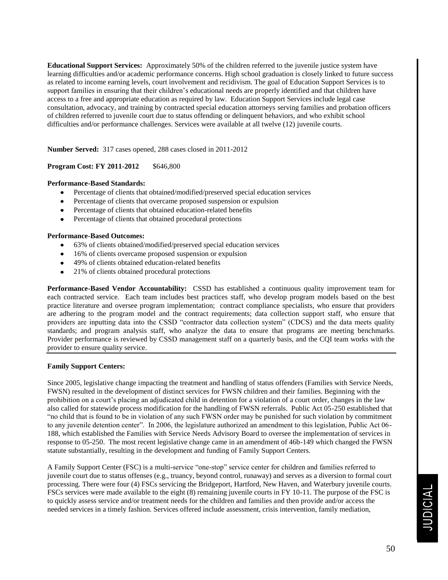**Educational Support Services:** Approximately 50% of the children referred to the juvenile justice system have learning difficulties and/or academic performance concerns. High school graduation is closely linked to future success as related to income earning levels, court involvement and recidivism. The goal of Education Support Services is to support families in ensuring that their children's educational needs are properly identified and that children have access to a free and appropriate education as required by law. Education Support Services include legal case consultation, advocacy, and training by contracted special education attorneys serving families and probation officers of children referred to juvenile court due to status offending or delinquent behaviors, and who exhibit school difficulties and/or performance challenges. Services were available at all twelve (12) juvenile courts.

**Number Served:** 317 cases opened, 288 cases closed in 2011-2012

#### **Program Cost: FY 2011-2012** \$646,800

#### **Performance-Based Standards:**

- Percentage of clients that obtained/modified/preserved special education services
- Percentage of clients that overcame proposed suspension or expulsion
- Percentage of clients that obtained education-related benefits
- Percentage of clients that obtained procedural protections

#### **Performance-Based Outcomes:**

- 63% of clients obtained/modified/preserved special education services
- 16% of clients overcame proposed suspension or expulsion
- 49% of clients obtained education-related benefits
- 21% of clients obtained procedural protections

**Performance-Based Vendor Accountability:** CSSD has established a continuous quality improvement team for each contracted service. Each team includes best practices staff, who develop program models based on the best practice literature and oversee program implementation; contract compliance specialists, who ensure that providers are adhering to the program model and the contract requirements; data collection support staff, who ensure that providers are inputting data into the CSSD "contractor data collection system" (CDCS) and the data meets quality standards; and program analysis staff, who analyze the data to ensure that programs are meeting benchmarks. Provider performance is reviewed by CSSD management staff on a quarterly basis, and the CQI team works with the provider to ensure quality service.

#### **Family Support Centers:**

Since 2005, legislative change impacting the treatment and handling of status offenders (Families with Service Needs, FWSN) resulted in the development of distinct services for FWSN children and their families. Beginning with the prohibition on a court's placing an adjudicated child in detention for a violation of a court order, changes in the law also called for statewide process modification for the handling of FWSN referrals. Public Act 05-250 established that "no child that is found to be in violation of any such FWSN order may be punished for such violation by commitment to any juvenile detention center". In 2006, the legislature authorized an amendment to this legislation, Public Act 06- 188, which established the Families with Service Needs Advisory Board to oversee the implementation of services in response to 05-250. The most recent legislative change came in an amendment of 46b-149 which changed the FWSN statute substantially, resulting in the development and funding of Family Support Centers.

A Family Support Center (FSC) is a multi-service "one-stop" service center for children and families referred to juvenile court due to status offenses (e.g., truancy, beyond control, runaway) and serves as a diversion to formal court processing. There were four (4) FSCs servicing the Bridgeport, Hartford, New Haven, and Waterbury juvenile courts. FSCs services were made available to the eight (8) remaining juvenile courts in FY 10-11. The purpose of the FSC is to quickly assess service and/or treatment needs for the children and families and then provide and/or access the needed services in a timely fashion. Services offered include assessment, crisis intervention, family mediation,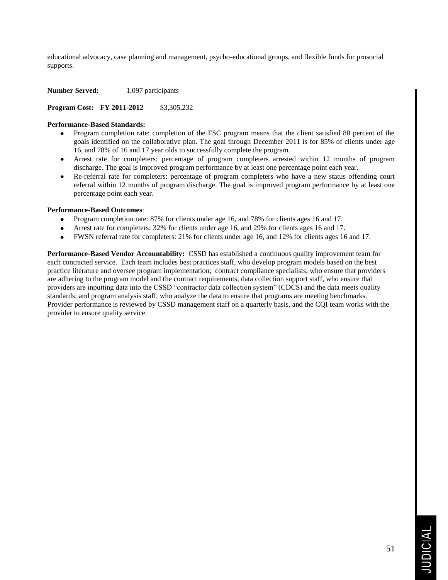educational advocacy, case planning and management, psycho-educational groups, and flexible funds for prosocial supports.

**Number Served:** 1,097 participants

**Program Cost: FY 2011-2012** \$3,305,232

#### **Performance-Based Standards:**

- Program completion rate: completion of the FSC program means that the client satisfied 80 percent of the goals identified on the collaborative plan. The goal through December 2011 is for 85% of clients under age 16, and 78% of 16 and 17 year olds to successfully complete the program.
- Arrest rate for completers: percentage of program completers arrested within 12 months of program discharge. The goal is improved program performance by at least one percentage point each year.
- Re-referral rate for completers: percentage of program completers who have a new status offending court referral within 12 months of program discharge. The goal is improved program performance by at least one percentage point each year.

#### **Performance-Based Outcomes**:

- Program completion rate: 87% for clients under age 16, and 78% for clients ages 16 and 17.  $\bullet$
- Arrest rate for completers: 32% for clients under age 16, and 29% for clients ages 16 and 17.
- FWSN referral rate for completers: 21% for clients under age 16, and 12% for clients ages 16 and 17.

**Performance-Based Vendor Accountability:** CSSD has established a continuous quality improvement team for each contracted service. Each team includes best practices staff, who develop program models based on the best practice literature and oversee program implementation; contract compliance specialists, who ensure that providers are adhering to the program model and the contract requirements; data collection support staff, who ensure that providers are inputting data into the CSSD "contractor data collection system" (CDCS) and the data meets quality standards; and program analysis staff, who analyze the data to ensure that programs are meeting benchmarks. Provider performance is reviewed by CSSD management staff on a quarterly basis, and the CQI team works with the provider to ensure quality service.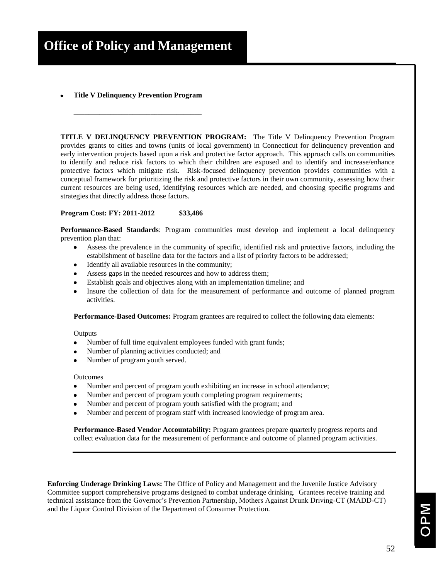**Title V Delinquency Prevention Program**

**\_\_\_\_\_\_\_\_\_\_\_\_\_\_\_\_\_\_\_\_\_\_\_\_\_\_\_\_\_\_\_\_\_\_\_**

**TITLE V DELINQUENCY PREVENTION PROGRAM:** The Title V Delinquency Prevention Program provides grants to cities and towns (units of local government) in Connecticut for delinquency prevention and early intervention projects based upon a risk and protective factor approach. This approach calls on communities to identify and reduce risk factors to which their children are exposed and to identify and increase/enhance protective factors which mitigate risk. Risk-focused delinquency prevention provides communities with a conceptual framework for prioritizing the risk and protective factors in their own community, assessing how their current resources are being used, identifying resources which are needed, and choosing specific programs and strategies that directly address those factors.

#### **Program Cost: FY: 2011-2012 \$33,486**

**Performance-Based Standards**: Program communities must develop and implement a local delinquency prevention plan that:

- Assess the prevalence in the community of specific, identified risk and protective factors, including the establishment of baseline data for the factors and a list of priority factors to be addressed;
- Identify all available resources in the community;
- Assess gaps in the needed resources and how to address them;
- Establish goals and objectives along with an implementation timeline; and
- Insure the collection of data for the measurement of performance and outcome of planned program activities.

**Performance-Based Outcomes:** Program grantees are required to collect the following data elements:

#### **Outputs**

- Number of full time equivalent employees funded with grant funds;
- Number of planning activities conducted; and
- Number of program youth served.

#### Outcomes

- Number and percent of program youth exhibiting an increase in school attendance;
- Number and percent of program youth completing program requirements;
- Number and percent of program youth satisfied with the program; and
- Number and percent of program staff with increased knowledge of program area.

**Performance-Based Vendor Accountability:** Program grantees prepare quarterly progress reports and collect evaluation data for the measurement of performance and outcome of planned program activities.

**Enforcing Underage Drinking Laws:** The Office of Policy and Management and the Juvenile Justice Advisory Committee support comprehensive programs designed to combat underage drinking. Grantees receive training and technical assistance from the Governor's Prevention Partnership, Mothers Against Drunk Driving-CT (MADD-CT) and the Liquor Control Division of the Department of Consumer Protection.